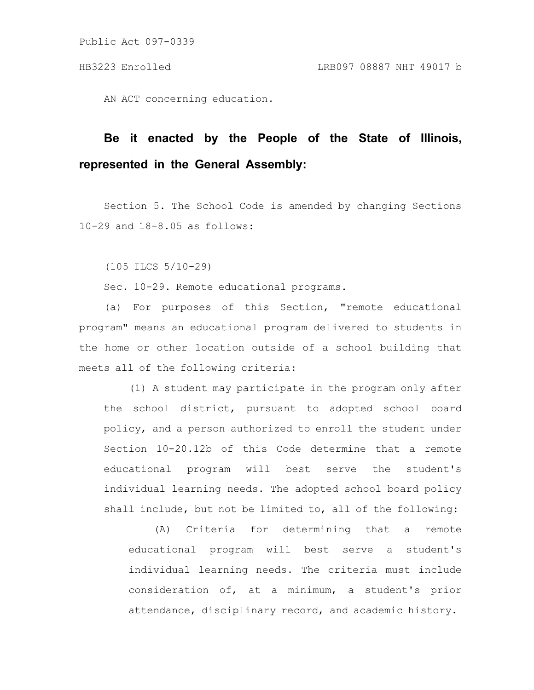AN ACT concerning education.

# **Be it enacted by the People of the State of Illinois, represented in the General Assembly:**

Section 5. The School Code is amended by changing Sections 10-29 and 18-8.05 as follows:

(105 ILCS 5/10-29)

Sec. 10-29. Remote educational programs.

(a) For purposes of this Section, "remote educational program" means an educational program delivered to students in the home or other location outside of a school building that meets all of the following criteria:

(1) A student may participate in the program only after the school district, pursuant to adopted school board policy, and a person authorized to enroll the student under Section 10-20.12b of this Code determine that a remote educational program will best serve the student's individual learning needs. The adopted school board policy shall include, but not be limited to, all of the following:

(A) Criteria for determining that a remote educational program will best serve a student's individual learning needs. The criteria must include consideration of, at a minimum, a student's prior attendance, disciplinary record, and academic history.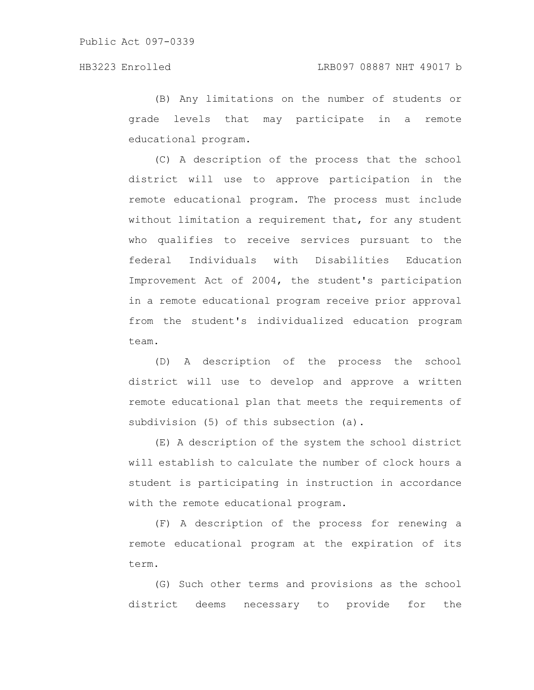(B) Any limitations on the number of students or grade levels that may participate in a remote educational program.

(C) A description of the process that the school district will use to approve participation in the remote educational program. The process must include without limitation a requirement that, for any student who qualifies to receive services pursuant to the federal Individuals with Disabilities Education Improvement Act of 2004, the student's participation in a remote educational program receive prior approval from the student's individualized education program team.

(D) A description of the process the school district will use to develop and approve a written remote educational plan that meets the requirements of subdivision (5) of this subsection (a).

(E) A description of the system the school district will establish to calculate the number of clock hours a student is participating in instruction in accordance with the remote educational program.

(F) A description of the process for renewing a remote educational program at the expiration of its term.

(G) Such other terms and provisions as the school district deems necessary to provide for the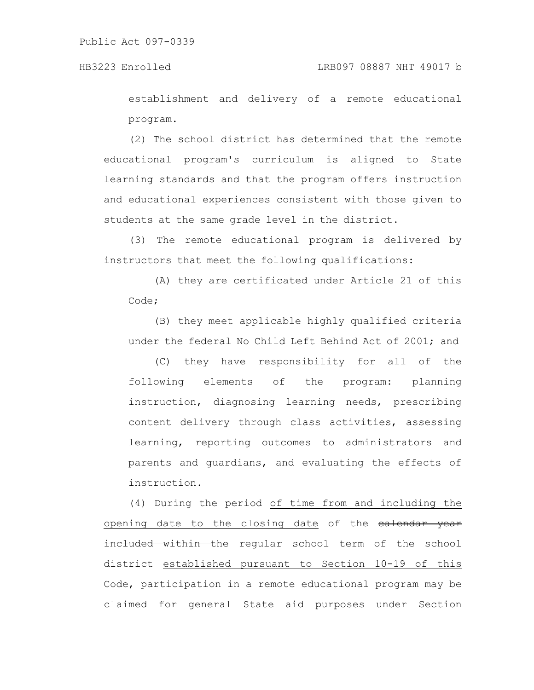establishment and delivery of a remote educational program.

(2) The school district has determined that the remote educational program's curriculum is aligned to State learning standards and that the program offers instruction and educational experiences consistent with those given to students at the same grade level in the district.

(3) The remote educational program is delivered by instructors that meet the following qualifications:

(A) they are certificated under Article 21 of this Code;

(B) they meet applicable highly qualified criteria under the federal No Child Left Behind Act of 2001; and

(C) they have responsibility for all of the following elements of the program: planning instruction, diagnosing learning needs, prescribing content delivery through class activities, assessing learning, reporting outcomes to administrators and parents and guardians, and evaluating the effects of instruction.

(4) During the period of time from and including the opening date to the closing date of the ealendar year neluded within the regular school term of the school district established pursuant to Section 10-19 of this Code, participation in a remote educational program may be claimed for general State aid purposes under Section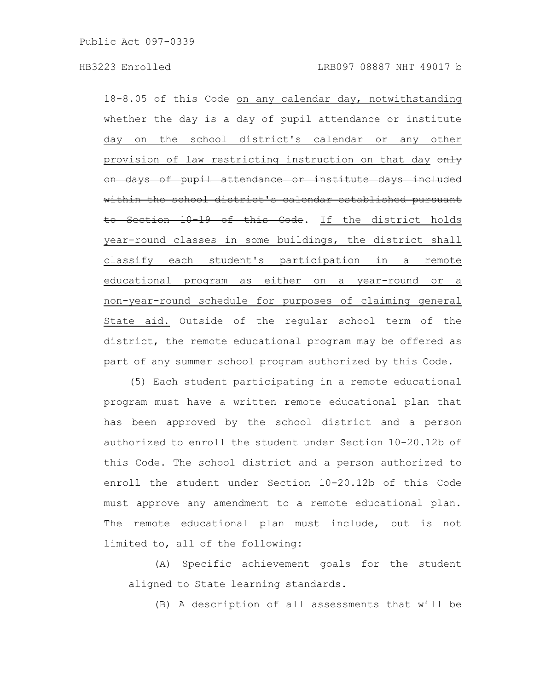18-8.05 of this Code on any calendar day, notwithstanding whether the day is a day of pupil attendance or institute day on the school district's calendar or any other provision of law restricting instruction on that day only on days of pupil attendance or institute days included within the school district's calendar established pursuant to Section 10-19 of this Code. If the district holds year-round classes in some buildings, the district shall classify each student's participation in a remote educational program as either on a year-round or a non-year-round schedule for purposes of claiming general State aid. Outside of the regular school term of the district, the remote educational program may be offered as part of any summer school program authorized by this Code.

(5) Each student participating in a remote educational program must have a written remote educational plan that has been approved by the school district and a person authorized to enroll the student under Section 10-20.12b of this Code. The school district and a person authorized to enroll the student under Section 10-20.12b of this Code must approve any amendment to a remote educational plan. The remote educational plan must include, but is not limited to, all of the following:

(A) Specific achievement goals for the student aligned to State learning standards.

(B) A description of all assessments that will be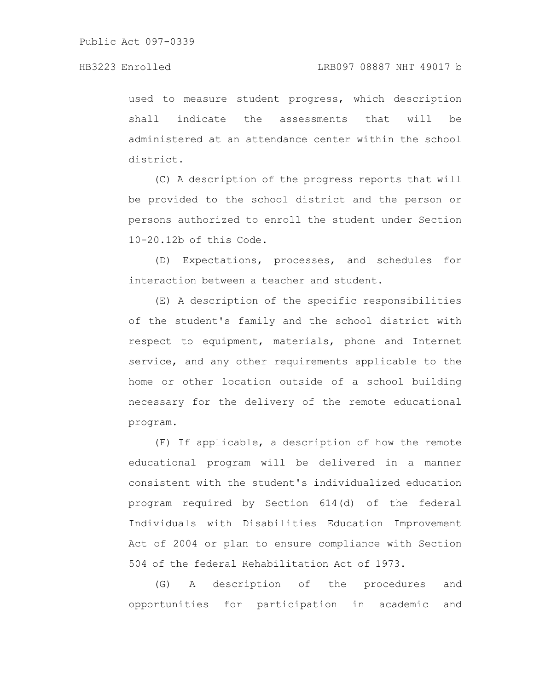used to measure student progress, which description shall indicate the assessments that will be administered at an attendance center within the school district.

(C) A description of the progress reports that will be provided to the school district and the person or persons authorized to enroll the student under Section 10-20.12b of this Code.

(D) Expectations, processes, and schedules for interaction between a teacher and student.

(E) A description of the specific responsibilities of the student's family and the school district with respect to equipment, materials, phone and Internet service, and any other requirements applicable to the home or other location outside of a school building necessary for the delivery of the remote educational program.

(F) If applicable, a description of how the remote educational program will be delivered in a manner consistent with the student's individualized education program required by Section 614(d) of the federal Individuals with Disabilities Education Improvement Act of 2004 or plan to ensure compliance with Section 504 of the federal Rehabilitation Act of 1973.

(G) A description of the procedures and opportunities for participation in academic and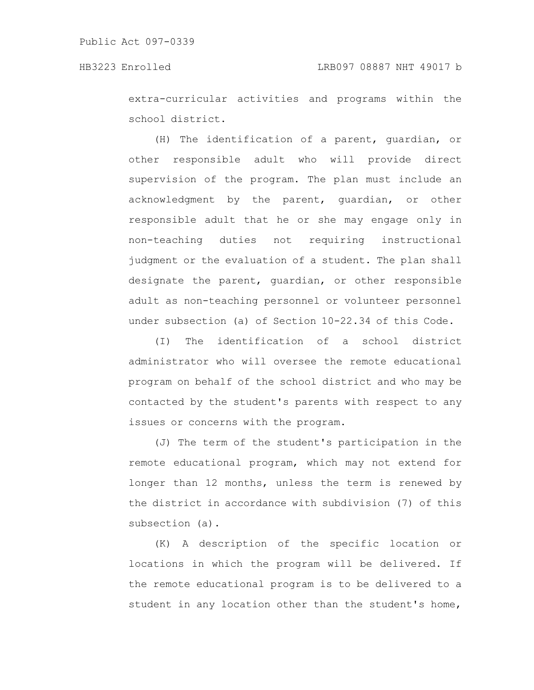extra-curricular activities and programs within the school district.

(H) The identification of a parent, guardian, or other responsible adult who will provide direct supervision of the program. The plan must include an acknowledgment by the parent, guardian, or other responsible adult that he or she may engage only in non-teaching duties not requiring instructional judgment or the evaluation of a student. The plan shall designate the parent, guardian, or other responsible adult as non-teaching personnel or volunteer personnel under subsection (a) of Section 10-22.34 of this Code.

(I) The identification of a school district administrator who will oversee the remote educational program on behalf of the school district and who may be contacted by the student's parents with respect to any issues or concerns with the program.

(J) The term of the student's participation in the remote educational program, which may not extend for longer than 12 months, unless the term is renewed by the district in accordance with subdivision (7) of this subsection (a).

(K) A description of the specific location or locations in which the program will be delivered. If the remote educational program is to be delivered to a student in any location other than the student's home,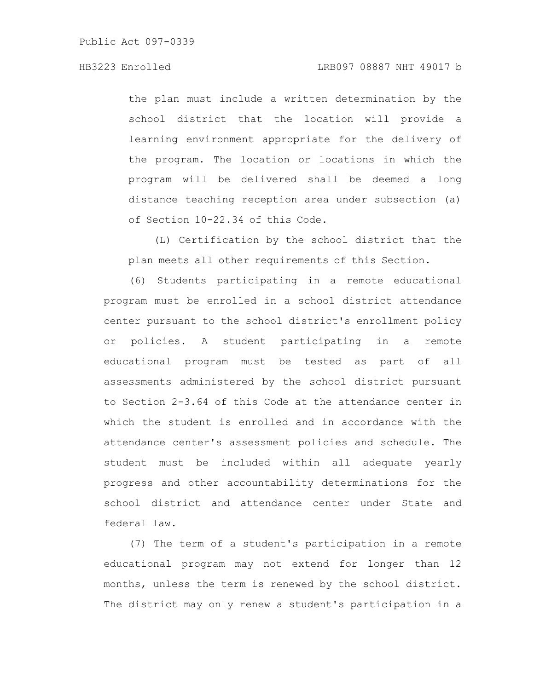the plan must include a written determination by the school district that the location will provide a learning environment appropriate for the delivery of the program. The location or locations in which the program will be delivered shall be deemed a long distance teaching reception area under subsection (a) of Section 10-22.34 of this Code.

(L) Certification by the school district that the plan meets all other requirements of this Section.

(6) Students participating in a remote educational program must be enrolled in a school district attendance center pursuant to the school district's enrollment policy or policies. A student participating in a remote educational program must be tested as part of all assessments administered by the school district pursuant to Section 2-3.64 of this Code at the attendance center in which the student is enrolled and in accordance with the attendance center's assessment policies and schedule. The student must be included within all adequate yearly progress and other accountability determinations for the school district and attendance center under State and federal law.

(7) The term of a student's participation in a remote educational program may not extend for longer than 12 months, unless the term is renewed by the school district. The district may only renew a student's participation in a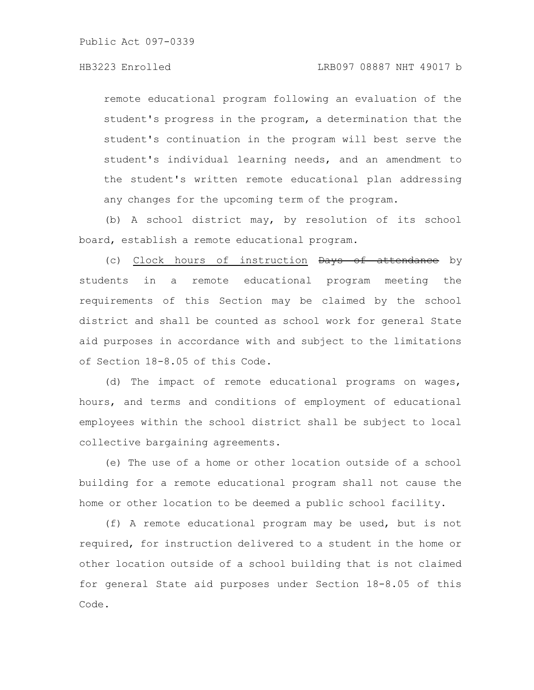remote educational program following an evaluation of the student's progress in the program, a determination that the student's continuation in the program will best serve the student's individual learning needs, and an amendment to the student's written remote educational plan addressing any changes for the upcoming term of the program.

(b) A school district may, by resolution of its school board, establish a remote educational program.

(c) Clock hours of instruction Days of attendance by students in a remote educational program meeting the requirements of this Section may be claimed by the school district and shall be counted as school work for general State aid purposes in accordance with and subject to the limitations of Section 18-8.05 of this Code.

(d) The impact of remote educational programs on wages, hours, and terms and conditions of employment of educational employees within the school district shall be subject to local collective bargaining agreements.

(e) The use of a home or other location outside of a school building for a remote educational program shall not cause the home or other location to be deemed a public school facility.

(f) A remote educational program may be used, but is not required, for instruction delivered to a student in the home or other location outside of a school building that is not claimed for general State aid purposes under Section 18-8.05 of this Code.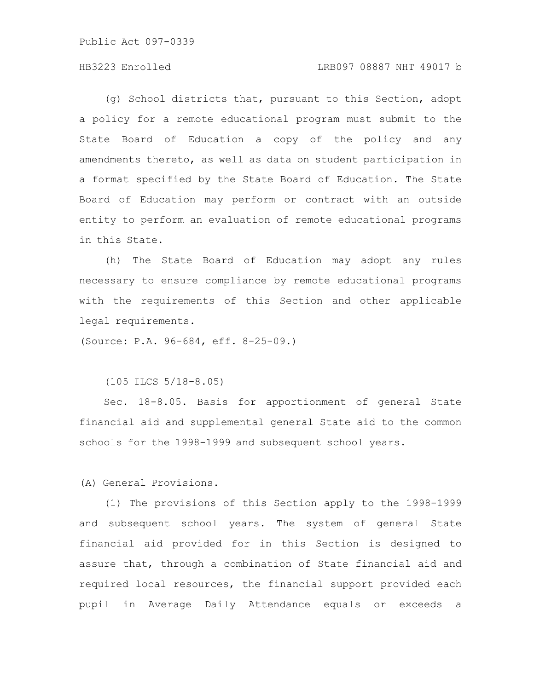### HB3223 Enrolled LRB097 08887 NHT 49017 b

(g) School districts that, pursuant to this Section, adopt a policy for a remote educational program must submit to the State Board of Education a copy of the policy and any amendments thereto, as well as data on student participation in a format specified by the State Board of Education. The State Board of Education may perform or contract with an outside entity to perform an evaluation of remote educational programs in this State.

(h) The State Board of Education may adopt any rules necessary to ensure compliance by remote educational programs with the requirements of this Section and other applicable legal requirements.

(Source: P.A. 96-684, eff. 8-25-09.)

(105 ILCS 5/18-8.05)

Sec. 18-8.05. Basis for apportionment of general State financial aid and supplemental general State aid to the common schools for the 1998-1999 and subsequent school years.

(A) General Provisions.

(1) The provisions of this Section apply to the 1998-1999 and subsequent school years. The system of general State financial aid provided for in this Section is designed to assure that, through a combination of State financial aid and required local resources, the financial support provided each pupil in Average Daily Attendance equals or exceeds a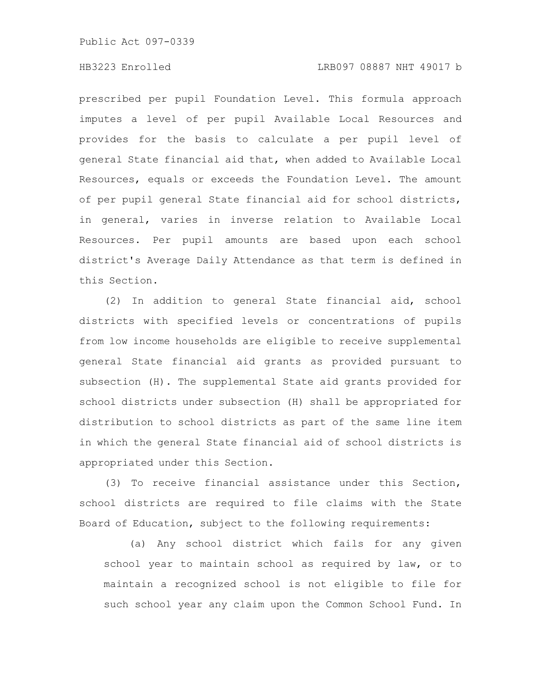### HB3223 Enrolled LRB097 08887 NHT 49017 b

prescribed per pupil Foundation Level. This formula approach imputes a level of per pupil Available Local Resources and provides for the basis to calculate a per pupil level of general State financial aid that, when added to Available Local Resources, equals or exceeds the Foundation Level. The amount of per pupil general State financial aid for school districts, in general, varies in inverse relation to Available Local Resources. Per pupil amounts are based upon each school district's Average Daily Attendance as that term is defined in this Section.

(2) In addition to general State financial aid, school districts with specified levels or concentrations of pupils from low income households are eligible to receive supplemental general State financial aid grants as provided pursuant to subsection (H). The supplemental State aid grants provided for school districts under subsection (H) shall be appropriated for distribution to school districts as part of the same line item in which the general State financial aid of school districts is appropriated under this Section.

(3) To receive financial assistance under this Section, school districts are required to file claims with the State Board of Education, subject to the following requirements:

(a) Any school district which fails for any given school year to maintain school as required by law, or to maintain a recognized school is not eligible to file for such school year any claim upon the Common School Fund. In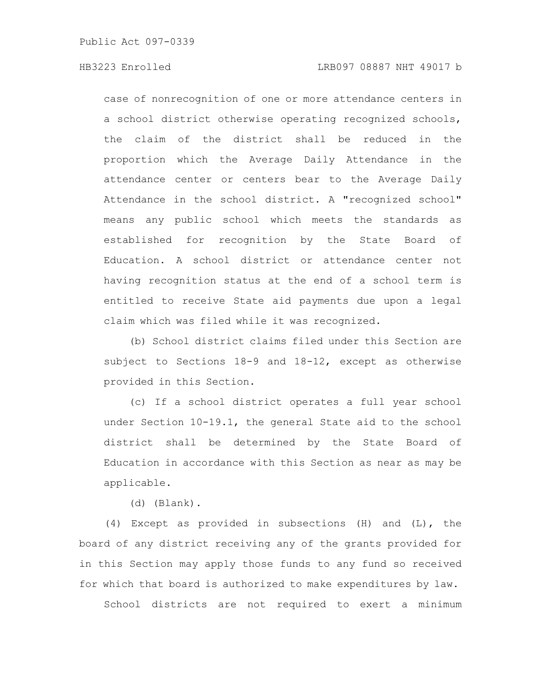case of nonrecognition of one or more attendance centers in a school district otherwise operating recognized schools, the claim of the district shall be reduced in the proportion which the Average Daily Attendance in the attendance center or centers bear to the Average Daily Attendance in the school district. A "recognized school" means any public school which meets the standards as established for recognition by the State Board of Education. A school district or attendance center not having recognition status at the end of a school term is entitled to receive State aid payments due upon a legal claim which was filed while it was recognized.

(b) School district claims filed under this Section are subject to Sections 18-9 and 18-12, except as otherwise provided in this Section.

(c) If a school district operates a full year school under Section 10-19.1, the general State aid to the school district shall be determined by the State Board of Education in accordance with this Section as near as may be applicable.

(d) (Blank).

(4) Except as provided in subsections (H) and (L), the board of any district receiving any of the grants provided for in this Section may apply those funds to any fund so received for which that board is authorized to make expenditures by law.

School districts are not required to exert a minimum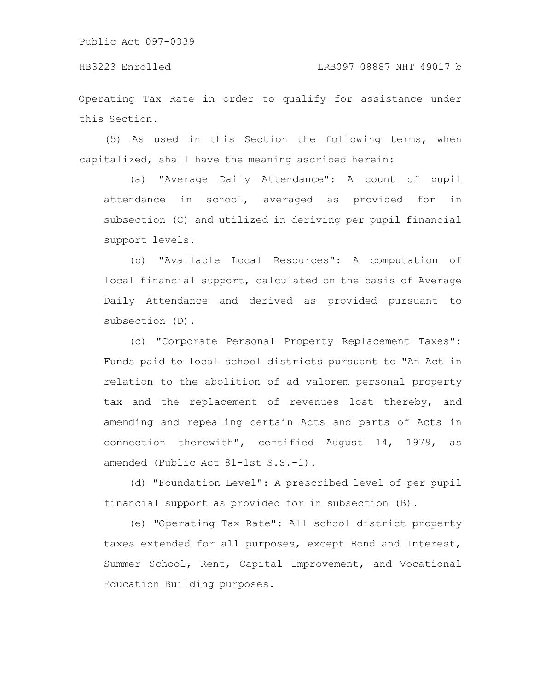Operating Tax Rate in order to qualify for assistance under this Section.

(5) As used in this Section the following terms, when capitalized, shall have the meaning ascribed herein:

(a) "Average Daily Attendance": A count of pupil attendance in school, averaged as provided for in subsection (C) and utilized in deriving per pupil financial support levels.

(b) "Available Local Resources": A computation of local financial support, calculated on the basis of Average Daily Attendance and derived as provided pursuant to subsection (D).

(c) "Corporate Personal Property Replacement Taxes": Funds paid to local school districts pursuant to "An Act in relation to the abolition of ad valorem personal property tax and the replacement of revenues lost thereby, and amending and repealing certain Acts and parts of Acts in connection therewith", certified August 14, 1979, as amended (Public Act 81-1st S.S.-1).

(d) "Foundation Level": A prescribed level of per pupil financial support as provided for in subsection (B).

(e) "Operating Tax Rate": All school district property taxes extended for all purposes, except Bond and Interest, Summer School, Rent, Capital Improvement, and Vocational Education Building purposes.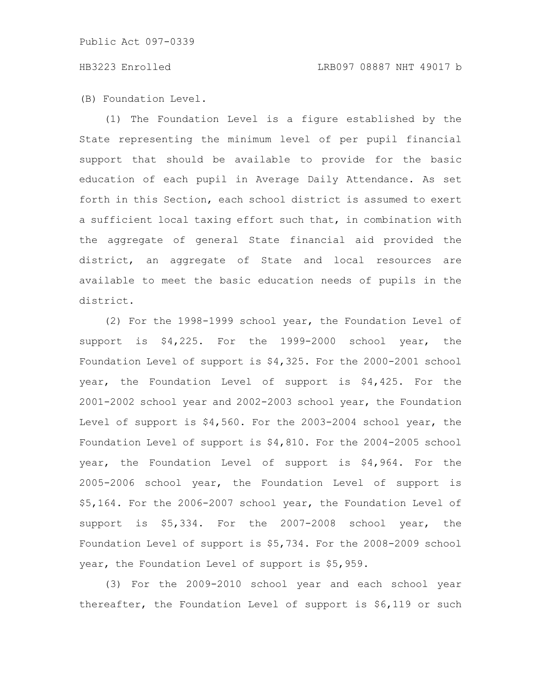(B) Foundation Level.

(1) The Foundation Level is a figure established by the State representing the minimum level of per pupil financial support that should be available to provide for the basic education of each pupil in Average Daily Attendance. As set forth in this Section, each school district is assumed to exert a sufficient local taxing effort such that, in combination with the aggregate of general State financial aid provided the district, an aggregate of State and local resources are available to meet the basic education needs of pupils in the district.

(2) For the 1998-1999 school year, the Foundation Level of support is \$4,225. For the 1999-2000 school year, the Foundation Level of support is \$4,325. For the 2000-2001 school year, the Foundation Level of support is \$4,425. For the 2001-2002 school year and 2002-2003 school year, the Foundation Level of support is \$4,560. For the 2003-2004 school year, the Foundation Level of support is \$4,810. For the 2004-2005 school year, the Foundation Level of support is \$4,964. For the 2005-2006 school year, the Foundation Level of support is \$5,164. For the 2006-2007 school year, the Foundation Level of support is \$5,334. For the 2007-2008 school year, the Foundation Level of support is \$5,734. For the 2008-2009 school year, the Foundation Level of support is \$5,959.

(3) For the 2009-2010 school year and each school year thereafter, the Foundation Level of support is \$6,119 or such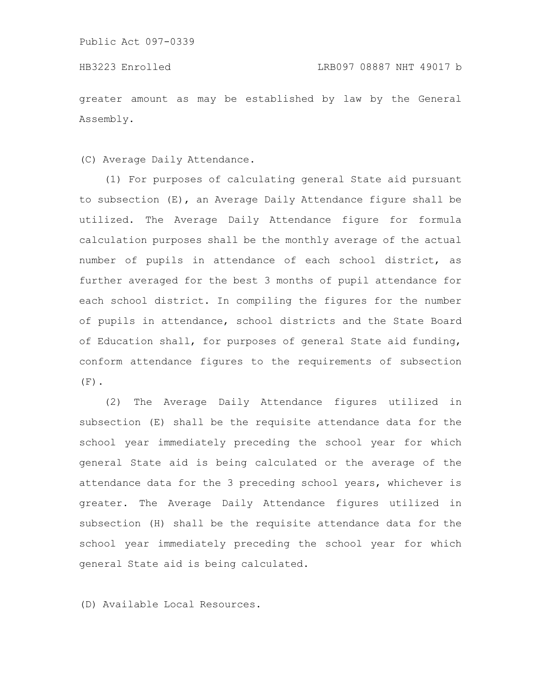greater amount as may be established by law by the General Assembly.

(C) Average Daily Attendance.

(1) For purposes of calculating general State aid pursuant to subsection (E), an Average Daily Attendance figure shall be utilized. The Average Daily Attendance figure for formula calculation purposes shall be the monthly average of the actual number of pupils in attendance of each school district, as further averaged for the best 3 months of pupil attendance for each school district. In compiling the figures for the number of pupils in attendance, school districts and the State Board of Education shall, for purposes of general State aid funding, conform attendance figures to the requirements of subsection  $(F)$ .

(2) The Average Daily Attendance figures utilized in subsection (E) shall be the requisite attendance data for the school year immediately preceding the school year for which general State aid is being calculated or the average of the attendance data for the 3 preceding school years, whichever is greater. The Average Daily Attendance figures utilized in subsection (H) shall be the requisite attendance data for the school year immediately preceding the school year for which general State aid is being calculated.

(D) Available Local Resources.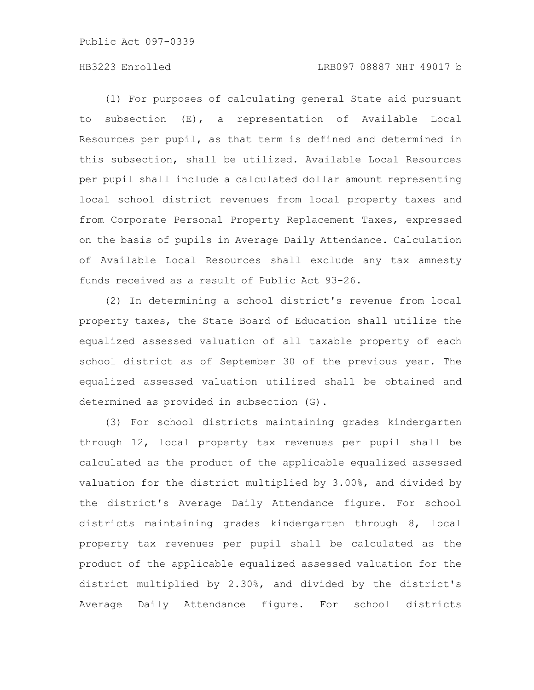(1) For purposes of calculating general State aid pursuant to subsection (E), a representation of Available Local Resources per pupil, as that term is defined and determined in this subsection, shall be utilized. Available Local Resources per pupil shall include a calculated dollar amount representing local school district revenues from local property taxes and from Corporate Personal Property Replacement Taxes, expressed on the basis of pupils in Average Daily Attendance. Calculation of Available Local Resources shall exclude any tax amnesty funds received as a result of Public Act 93-26.

(2) In determining a school district's revenue from local property taxes, the State Board of Education shall utilize the equalized assessed valuation of all taxable property of each school district as of September 30 of the previous year. The equalized assessed valuation utilized shall be obtained and determined as provided in subsection (G).

(3) For school districts maintaining grades kindergarten through 12, local property tax revenues per pupil shall be calculated as the product of the applicable equalized assessed valuation for the district multiplied by 3.00%, and divided by the district's Average Daily Attendance figure. For school districts maintaining grades kindergarten through 8, local property tax revenues per pupil shall be calculated as the product of the applicable equalized assessed valuation for the district multiplied by 2.30%, and divided by the district's Average Daily Attendance figure. For school districts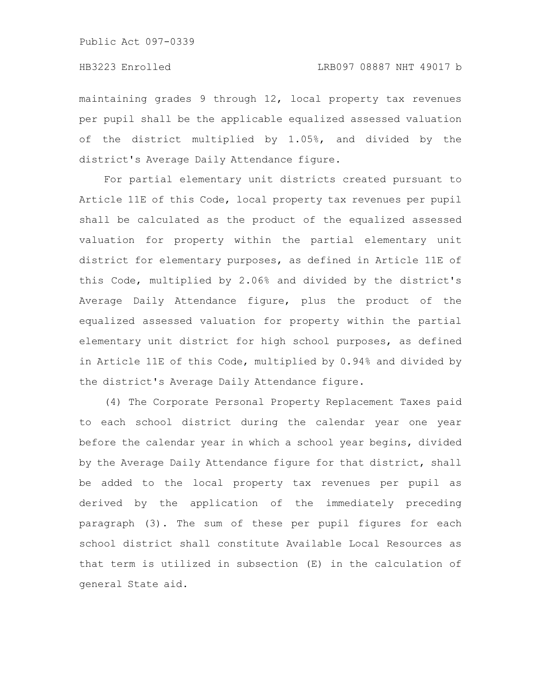maintaining grades 9 through 12, local property tax revenues per pupil shall be the applicable equalized assessed valuation of the district multiplied by 1.05%, and divided by the district's Average Daily Attendance figure.

For partial elementary unit districts created pursuant to Article 11E of this Code, local property tax revenues per pupil shall be calculated as the product of the equalized assessed valuation for property within the partial elementary unit district for elementary purposes, as defined in Article 11E of this Code, multiplied by 2.06% and divided by the district's Average Daily Attendance figure, plus the product of the equalized assessed valuation for property within the partial elementary unit district for high school purposes, as defined in Article 11E of this Code, multiplied by 0.94% and divided by the district's Average Daily Attendance figure.

(4) The Corporate Personal Property Replacement Taxes paid to each school district during the calendar year one year before the calendar year in which a school year begins, divided by the Average Daily Attendance figure for that district, shall be added to the local property tax revenues per pupil as derived by the application of the immediately preceding paragraph (3). The sum of these per pupil figures for each school district shall constitute Available Local Resources as that term is utilized in subsection (E) in the calculation of general State aid.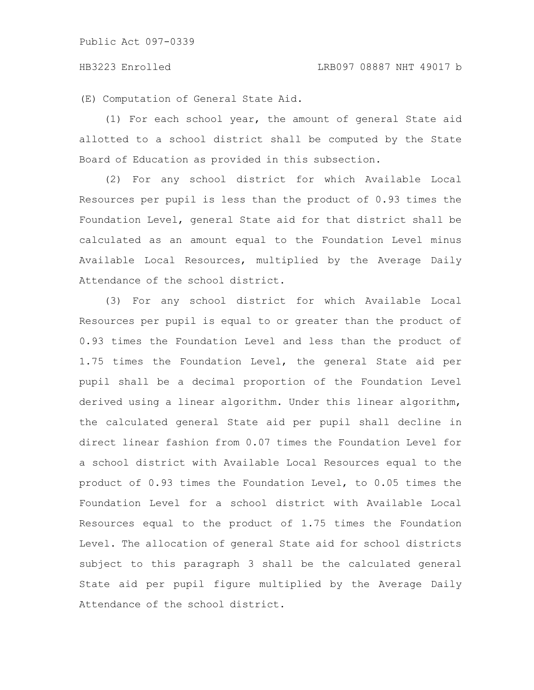(E) Computation of General State Aid.

(1) For each school year, the amount of general State aid allotted to a school district shall be computed by the State Board of Education as provided in this subsection.

(2) For any school district for which Available Local Resources per pupil is less than the product of 0.93 times the Foundation Level, general State aid for that district shall be calculated as an amount equal to the Foundation Level minus Available Local Resources, multiplied by the Average Daily Attendance of the school district.

(3) For any school district for which Available Local Resources per pupil is equal to or greater than the product of 0.93 times the Foundation Level and less than the product of 1.75 times the Foundation Level, the general State aid per pupil shall be a decimal proportion of the Foundation Level derived using a linear algorithm. Under this linear algorithm, the calculated general State aid per pupil shall decline in direct linear fashion from 0.07 times the Foundation Level for a school district with Available Local Resources equal to the product of 0.93 times the Foundation Level, to 0.05 times the Foundation Level for a school district with Available Local Resources equal to the product of 1.75 times the Foundation Level. The allocation of general State aid for school districts subject to this paragraph 3 shall be the calculated general State aid per pupil figure multiplied by the Average Daily Attendance of the school district.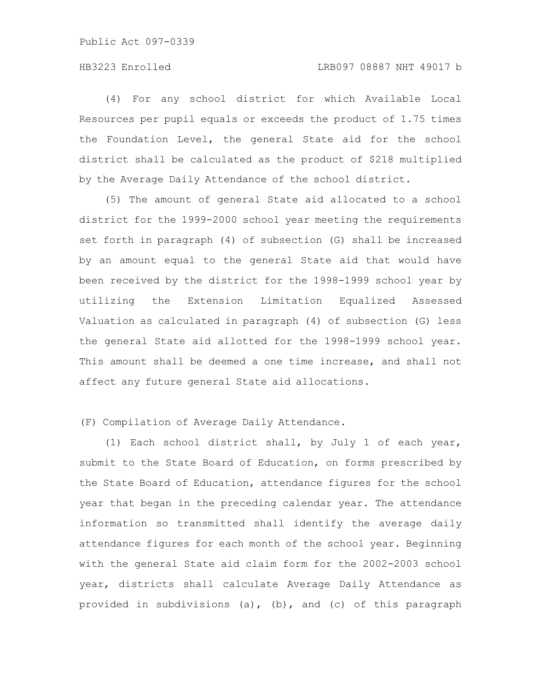(4) For any school district for which Available Local Resources per pupil equals or exceeds the product of 1.75 times the Foundation Level, the general State aid for the school district shall be calculated as the product of \$218 multiplied by the Average Daily Attendance of the school district.

(5) The amount of general State aid allocated to a school district for the 1999-2000 school year meeting the requirements set forth in paragraph (4) of subsection (G) shall be increased by an amount equal to the general State aid that would have been received by the district for the 1998-1999 school year by utilizing the Extension Limitation Equalized Assessed Valuation as calculated in paragraph (4) of subsection (G) less the general State aid allotted for the 1998-1999 school year. This amount shall be deemed a one time increase, and shall not affect any future general State aid allocations.

# (F) Compilation of Average Daily Attendance.

(1) Each school district shall, by July 1 of each year, submit to the State Board of Education, on forms prescribed by the State Board of Education, attendance figures for the school year that began in the preceding calendar year. The attendance information so transmitted shall identify the average daily attendance figures for each month of the school year. Beginning with the general State aid claim form for the 2002-2003 school year, districts shall calculate Average Daily Attendance as provided in subdivisions (a), (b), and (c) of this paragraph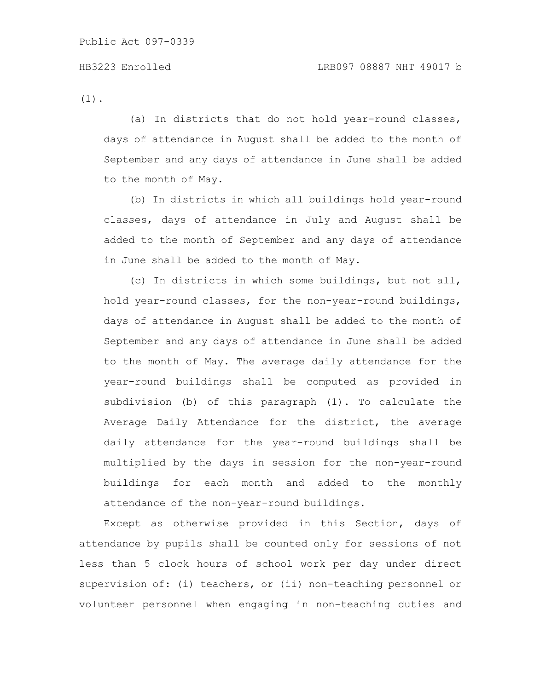(1).

(a) In districts that do not hold year-round classes, days of attendance in August shall be added to the month of September and any days of attendance in June shall be added to the month of May.

(b) In districts in which all buildings hold year-round classes, days of attendance in July and August shall be added to the month of September and any days of attendance in June shall be added to the month of May.

(c) In districts in which some buildings, but not all, hold year-round classes, for the non-year-round buildings, days of attendance in August shall be added to the month of September and any days of attendance in June shall be added to the month of May. The average daily attendance for the year-round buildings shall be computed as provided in subdivision (b) of this paragraph (1). To calculate the Average Daily Attendance for the district, the average daily attendance for the year-round buildings shall be multiplied by the days in session for the non-year-round buildings for each month and added to the monthly attendance of the non-year-round buildings.

Except as otherwise provided in this Section, days of attendance by pupils shall be counted only for sessions of not less than 5 clock hours of school work per day under direct supervision of: (i) teachers, or (ii) non-teaching personnel or volunteer personnel when engaging in non-teaching duties and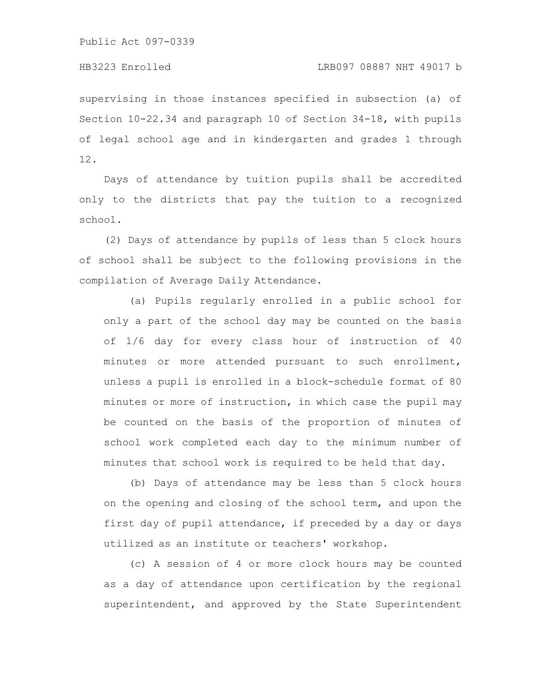supervising in those instances specified in subsection (a) of Section 10-22.34 and paragraph 10 of Section 34-18, with pupils of legal school age and in kindergarten and grades 1 through 12.

Days of attendance by tuition pupils shall be accredited only to the districts that pay the tuition to a recognized school.

(2) Days of attendance by pupils of less than 5 clock hours of school shall be subject to the following provisions in the compilation of Average Daily Attendance.

(a) Pupils regularly enrolled in a public school for only a part of the school day may be counted on the basis of 1/6 day for every class hour of instruction of 40 minutes or more attended pursuant to such enrollment, unless a pupil is enrolled in a block-schedule format of 80 minutes or more of instruction, in which case the pupil may be counted on the basis of the proportion of minutes of school work completed each day to the minimum number of minutes that school work is required to be held that day.

(b) Days of attendance may be less than 5 clock hours on the opening and closing of the school term, and upon the first day of pupil attendance, if preceded by a day or days utilized as an institute or teachers' workshop.

(c) A session of 4 or more clock hours may be counted as a day of attendance upon certification by the regional superintendent, and approved by the State Superintendent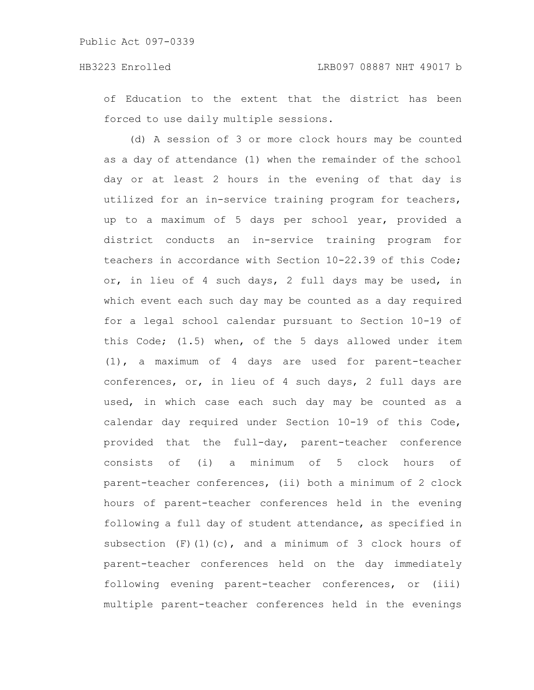of Education to the extent that the district has been forced to use daily multiple sessions.

(d) A session of 3 or more clock hours may be counted as a day of attendance (1) when the remainder of the school day or at least 2 hours in the evening of that day is utilized for an in-service training program for teachers, up to a maximum of 5 days per school year, provided a district conducts an in-service training program for teachers in accordance with Section 10-22.39 of this Code; or, in lieu of 4 such days, 2 full days may be used, in which event each such day may be counted as a day required for a legal school calendar pursuant to Section 10-19 of this Code; (1.5) when, of the 5 days allowed under item (1), a maximum of 4 days are used for parent-teacher conferences, or, in lieu of 4 such days, 2 full days are used, in which case each such day may be counted as a calendar day required under Section 10-19 of this Code, provided that the full-day, parent-teacher conference consists of (i) a minimum of 5 clock hours of parent-teacher conferences, (ii) both a minimum of 2 clock hours of parent-teacher conferences held in the evening following a full day of student attendance, as specified in subsection  $(F)$  (1)(c), and a minimum of 3 clock hours of parent-teacher conferences held on the day immediately following evening parent-teacher conferences, or (iii) multiple parent-teacher conferences held in the evenings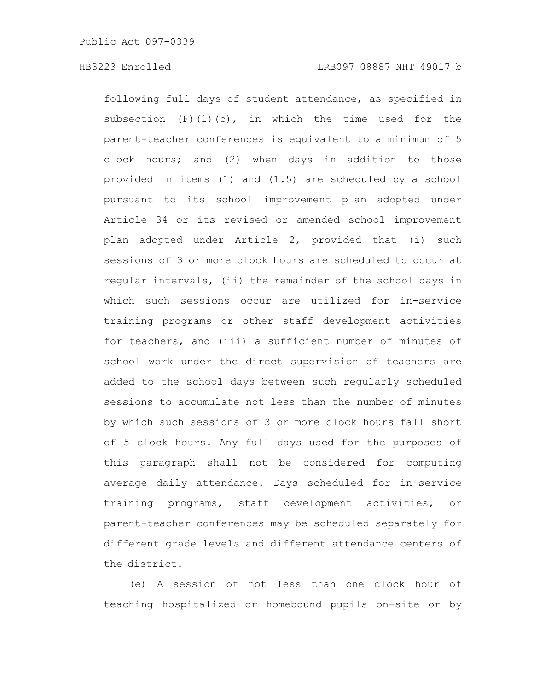following full days of student attendance, as specified in subsection  $(F)(1)(c)$ , in which the time used for the parent-teacher conferences is equivalent to a minimum of 5 clock hours; and (2) when days in addition to those provided in items (1) and (1.5) are scheduled by a school pursuant to its school improvement plan adopted under Article 34 or its revised or amended school improvement plan adopted under Article 2, provided that (i) such sessions of 3 or more clock hours are scheduled to occur at regular intervals, (ii) the remainder of the school days in which such sessions occur are utilized for in-service training programs or other staff development activities for teachers, and (iii) a sufficient number of minutes of school work under the direct supervision of teachers are added to the school days between such regularly scheduled sessions to accumulate not less than the number of minutes by which such sessions of 3 or more clock hours fall short of 5 clock hours. Any full days used for the purposes of this paragraph shall not be considered for computing average daily attendance. Days scheduled for in-service training programs, staff development activities, or parent-teacher conferences may be scheduled separately for different grade levels and different attendance centers of the district.

(e) A session of not less than one clock hour of teaching hospitalized or homebound pupils on-site or by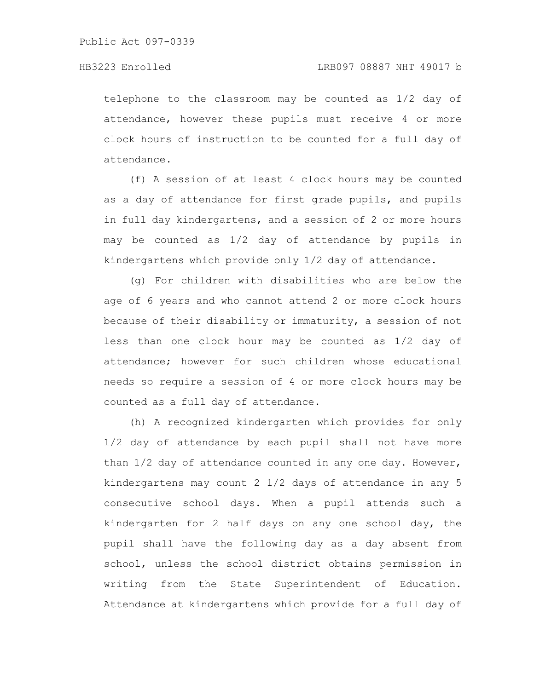telephone to the classroom may be counted as 1/2 day of attendance, however these pupils must receive 4 or more clock hours of instruction to be counted for a full day of attendance.

(f) A session of at least 4 clock hours may be counted as a day of attendance for first grade pupils, and pupils in full day kindergartens, and a session of 2 or more hours may be counted as 1/2 day of attendance by pupils in kindergartens which provide only 1/2 day of attendance.

(g) For children with disabilities who are below the age of 6 years and who cannot attend 2 or more clock hours because of their disability or immaturity, a session of not less than one clock hour may be counted as 1/2 day of attendance; however for such children whose educational needs so require a session of 4 or more clock hours may be counted as a full day of attendance.

(h) A recognized kindergarten which provides for only 1/2 day of attendance by each pupil shall not have more than 1/2 day of attendance counted in any one day. However, kindergartens may count 2 1/2 days of attendance in any 5 consecutive school days. When a pupil attends such a kindergarten for 2 half days on any one school day, the pupil shall have the following day as a day absent from school, unless the school district obtains permission in writing from the State Superintendent of Education. Attendance at kindergartens which provide for a full day of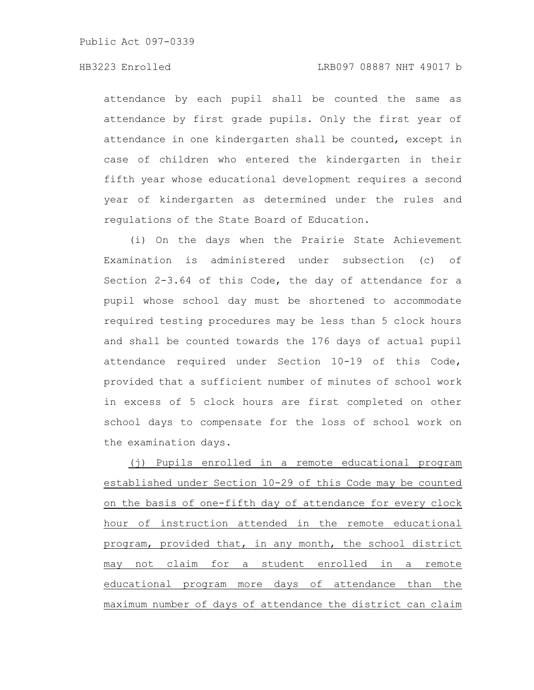attendance by each pupil shall be counted the same as attendance by first grade pupils. Only the first year of attendance in one kindergarten shall be counted, except in case of children who entered the kindergarten in their fifth year whose educational development requires a second year of kindergarten as determined under the rules and regulations of the State Board of Education.

(i) On the days when the Prairie State Achievement Examination is administered under subsection (c) of Section 2-3.64 of this Code, the day of attendance for a pupil whose school day must be shortened to accommodate required testing procedures may be less than 5 clock hours and shall be counted towards the 176 days of actual pupil attendance required under Section 10-19 of this Code, provided that a sufficient number of minutes of school work in excess of 5 clock hours are first completed on other school days to compensate for the loss of school work on the examination days.

(j) Pupils enrolled in a remote educational program established under Section 10-29 of this Code may be counted on the basis of one-fifth day of attendance for every clock hour of instruction attended in the remote educational program, provided that, in any month, the school district may not claim for a student enrolled in a remote educational program more days of attendance than the maximum number of days of attendance the district can claim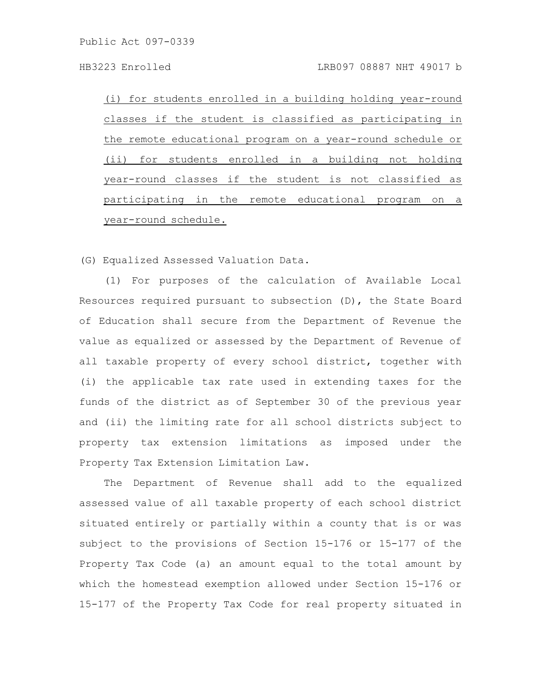(i) for students enrolled in a building holding year-round classes if the student is classified as participating in the remote educational program on a year-round schedule or (ii) for students enrolled in a building not holding year-round classes if the student is not classified as participating in the remote educational program on a year-round schedule.

(G) Equalized Assessed Valuation Data.

(1) For purposes of the calculation of Available Local Resources required pursuant to subsection (D), the State Board of Education shall secure from the Department of Revenue the value as equalized or assessed by the Department of Revenue of all taxable property of every school district, together with (i) the applicable tax rate used in extending taxes for the funds of the district as of September 30 of the previous year and (ii) the limiting rate for all school districts subject to property tax extension limitations as imposed under the Property Tax Extension Limitation Law.

The Department of Revenue shall add to the equalized assessed value of all taxable property of each school district situated entirely or partially within a county that is or was subject to the provisions of Section 15-176 or 15-177 of the Property Tax Code (a) an amount equal to the total amount by which the homestead exemption allowed under Section 15-176 or 15-177 of the Property Tax Code for real property situated in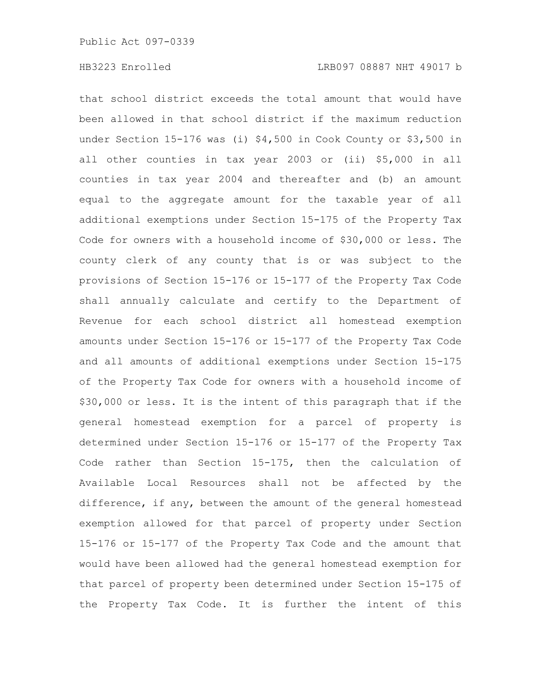that school district exceeds the total amount that would have been allowed in that school district if the maximum reduction under Section 15-176 was (i) \$4,500 in Cook County or \$3,500 in all other counties in tax year 2003 or (ii) \$5,000 in all counties in tax year 2004 and thereafter and (b) an amount equal to the aggregate amount for the taxable year of all additional exemptions under Section 15-175 of the Property Tax Code for owners with a household income of \$30,000 or less. The county clerk of any county that is or was subject to the provisions of Section 15-176 or 15-177 of the Property Tax Code shall annually calculate and certify to the Department of Revenue for each school district all homestead exemption amounts under Section 15-176 or 15-177 of the Property Tax Code and all amounts of additional exemptions under Section 15-175 of the Property Tax Code for owners with a household income of \$30,000 or less. It is the intent of this paragraph that if the general homestead exemption for a parcel of property is determined under Section 15-176 or 15-177 of the Property Tax Code rather than Section 15-175, then the calculation of Available Local Resources shall not be affected by the difference, if any, between the amount of the general homestead exemption allowed for that parcel of property under Section 15-176 or 15-177 of the Property Tax Code and the amount that would have been allowed had the general homestead exemption for that parcel of property been determined under Section 15-175 of the Property Tax Code. It is further the intent of this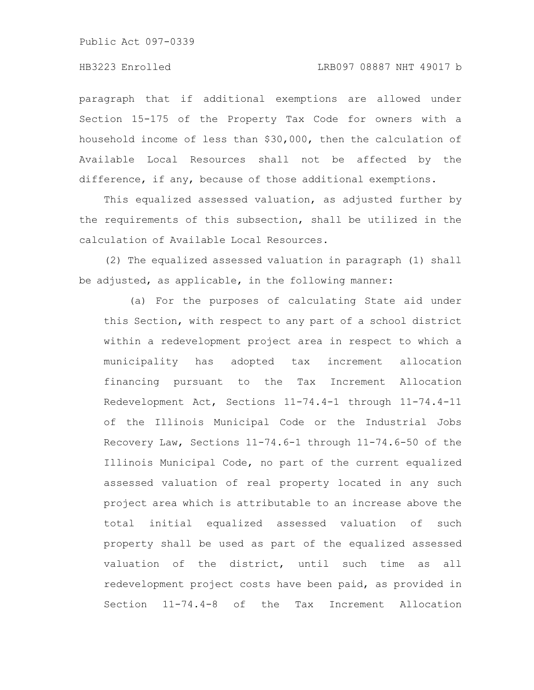#### HB3223 Enrolled LRB097 08887 NHT 49017 b

paragraph that if additional exemptions are allowed under Section 15-175 of the Property Tax Code for owners with a household income of less than \$30,000, then the calculation of Available Local Resources shall not be affected by the difference, if any, because of those additional exemptions.

This equalized assessed valuation, as adjusted further by the requirements of this subsection, shall be utilized in the calculation of Available Local Resources.

(2) The equalized assessed valuation in paragraph (1) shall be adjusted, as applicable, in the following manner:

(a) For the purposes of calculating State aid under this Section, with respect to any part of a school district within a redevelopment project area in respect to which a municipality has adopted tax increment allocation financing pursuant to the Tax Increment Allocation Redevelopment Act, Sections 11-74.4-1 through 11-74.4-11 of the Illinois Municipal Code or the Industrial Jobs Recovery Law, Sections 11-74.6-1 through 11-74.6-50 of the Illinois Municipal Code, no part of the current equalized assessed valuation of real property located in any such project area which is attributable to an increase above the total initial equalized assessed valuation of such property shall be used as part of the equalized assessed valuation of the district, until such time as all redevelopment project costs have been paid, as provided in Section 11-74.4-8 of the Tax Increment Allocation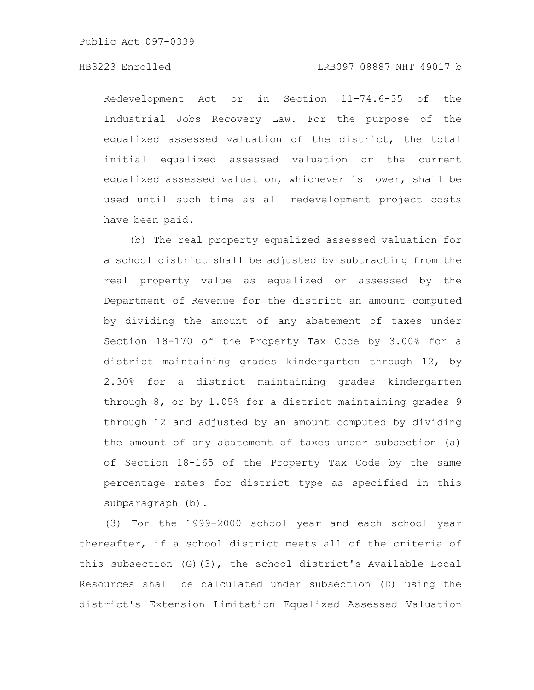Redevelopment Act or in Section 11-74.6-35 of the Industrial Jobs Recovery Law. For the purpose of the equalized assessed valuation of the district, the total initial equalized assessed valuation or the current equalized assessed valuation, whichever is lower, shall be used until such time as all redevelopment project costs have been paid.

(b) The real property equalized assessed valuation for a school district shall be adjusted by subtracting from the real property value as equalized or assessed by the Department of Revenue for the district an amount computed by dividing the amount of any abatement of taxes under Section 18-170 of the Property Tax Code by 3.00% for a district maintaining grades kindergarten through 12, by 2.30% for a district maintaining grades kindergarten through 8, or by 1.05% for a district maintaining grades 9 through 12 and adjusted by an amount computed by dividing the amount of any abatement of taxes under subsection (a) of Section 18-165 of the Property Tax Code by the same percentage rates for district type as specified in this subparagraph (b).

(3) For the 1999-2000 school year and each school year thereafter, if a school district meets all of the criteria of this subsection (G)(3), the school district's Available Local Resources shall be calculated under subsection (D) using the district's Extension Limitation Equalized Assessed Valuation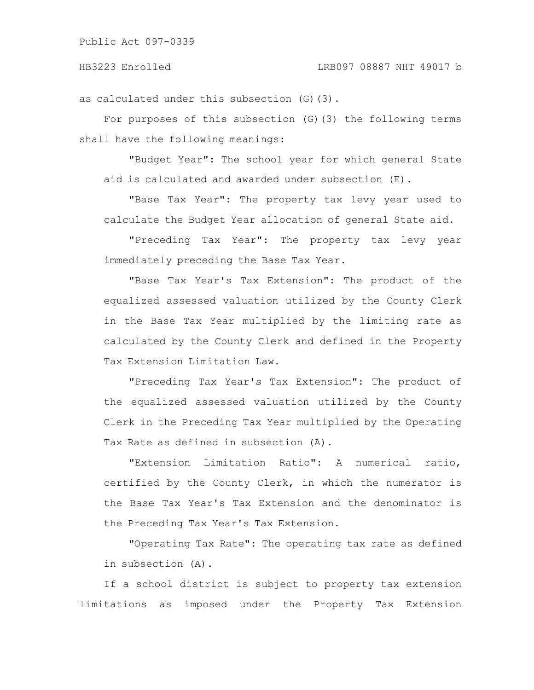as calculated under this subsection (G)(3).

For purposes of this subsection (G)(3) the following terms shall have the following meanings:

"Budget Year": The school year for which general State aid is calculated and awarded under subsection (E).

"Base Tax Year": The property tax levy year used to calculate the Budget Year allocation of general State aid.

"Preceding Tax Year": The property tax levy year immediately preceding the Base Tax Year.

"Base Tax Year's Tax Extension": The product of the equalized assessed valuation utilized by the County Clerk in the Base Tax Year multiplied by the limiting rate as calculated by the County Clerk and defined in the Property Tax Extension Limitation Law.

"Preceding Tax Year's Tax Extension": The product of the equalized assessed valuation utilized by the County Clerk in the Preceding Tax Year multiplied by the Operating Tax Rate as defined in subsection (A).

"Extension Limitation Ratio": A numerical ratio, certified by the County Clerk, in which the numerator is the Base Tax Year's Tax Extension and the denominator is the Preceding Tax Year's Tax Extension.

"Operating Tax Rate": The operating tax rate as defined in subsection (A).

If a school district is subject to property tax extension limitations as imposed under the Property Tax Extension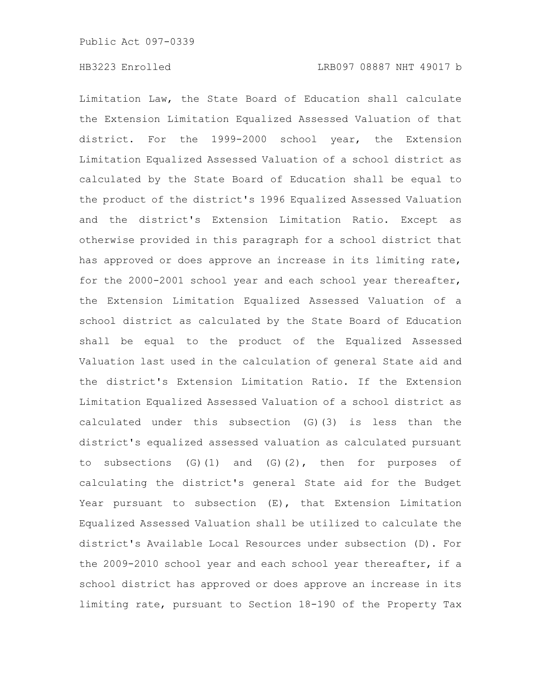Limitation Law, the State Board of Education shall calculate the Extension Limitation Equalized Assessed Valuation of that district. For the 1999-2000 school year, the Extension Limitation Equalized Assessed Valuation of a school district as calculated by the State Board of Education shall be equal to the product of the district's 1996 Equalized Assessed Valuation and the district's Extension Limitation Ratio. Except as otherwise provided in this paragraph for a school district that has approved or does approve an increase in its limiting rate, for the 2000-2001 school year and each school year thereafter, the Extension Limitation Equalized Assessed Valuation of a school district as calculated by the State Board of Education shall be equal to the product of the Equalized Assessed Valuation last used in the calculation of general State aid and the district's Extension Limitation Ratio. If the Extension Limitation Equalized Assessed Valuation of a school district as calculated under this subsection (G)(3) is less than the district's equalized assessed valuation as calculated pursuant to subsections  $(G)(1)$  and  $(G)(2)$ , then for purposes of calculating the district's general State aid for the Budget Year pursuant to subsection (E), that Extension Limitation Equalized Assessed Valuation shall be utilized to calculate the district's Available Local Resources under subsection (D). For the 2009-2010 school year and each school year thereafter, if a school district has approved or does approve an increase in its limiting rate, pursuant to Section 18-190 of the Property Tax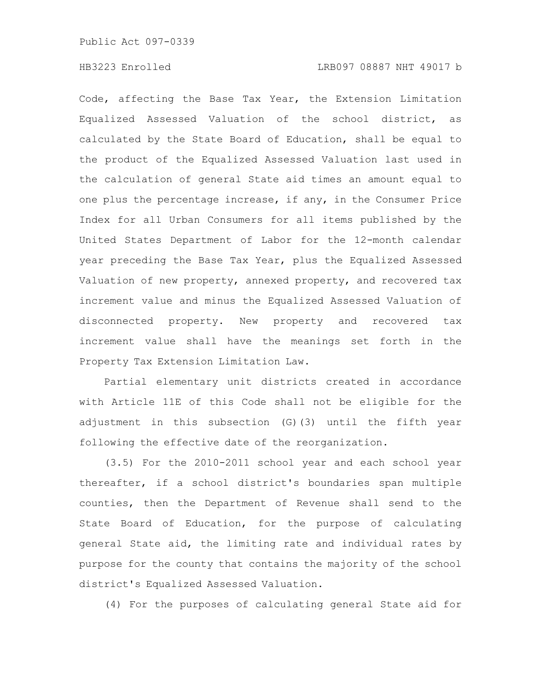Code, affecting the Base Tax Year, the Extension Limitation Equalized Assessed Valuation of the school district, as calculated by the State Board of Education, shall be equal to the product of the Equalized Assessed Valuation last used in the calculation of general State aid times an amount equal to one plus the percentage increase, if any, in the Consumer Price Index for all Urban Consumers for all items published by the United States Department of Labor for the 12-month calendar year preceding the Base Tax Year, plus the Equalized Assessed Valuation of new property, annexed property, and recovered tax increment value and minus the Equalized Assessed Valuation of disconnected property. New property and recovered tax increment value shall have the meanings set forth in the Property Tax Extension Limitation Law.

Partial elementary unit districts created in accordance with Article 11E of this Code shall not be eligible for the adjustment in this subsection (G)(3) until the fifth year following the effective date of the reorganization.

(3.5) For the 2010-2011 school year and each school year thereafter, if a school district's boundaries span multiple counties, then the Department of Revenue shall send to the State Board of Education, for the purpose of calculating general State aid, the limiting rate and individual rates by purpose for the county that contains the majority of the school district's Equalized Assessed Valuation.

(4) For the purposes of calculating general State aid for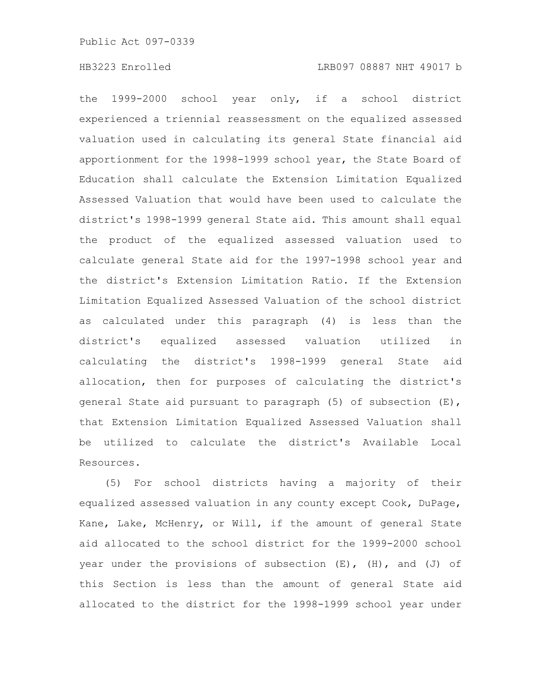the 1999-2000 school year only, if a school district experienced a triennial reassessment on the equalized assessed valuation used in calculating its general State financial aid apportionment for the 1998-1999 school year, the State Board of Education shall calculate the Extension Limitation Equalized Assessed Valuation that would have been used to calculate the district's 1998-1999 general State aid. This amount shall equal the product of the equalized assessed valuation used to calculate general State aid for the 1997-1998 school year and the district's Extension Limitation Ratio. If the Extension Limitation Equalized Assessed Valuation of the school district as calculated under this paragraph (4) is less than the district's equalized assessed valuation utilized in calculating the district's 1998-1999 general State aid allocation, then for purposes of calculating the district's general State aid pursuant to paragraph (5) of subsection (E), that Extension Limitation Equalized Assessed Valuation shall be utilized to calculate the district's Available Local Resources.

(5) For school districts having a majority of their equalized assessed valuation in any county except Cook, DuPage, Kane, Lake, McHenry, or Will, if the amount of general State aid allocated to the school district for the 1999-2000 school year under the provisions of subsection  $(E)$ ,  $(H)$ , and  $(J)$  of this Section is less than the amount of general State aid allocated to the district for the 1998-1999 school year under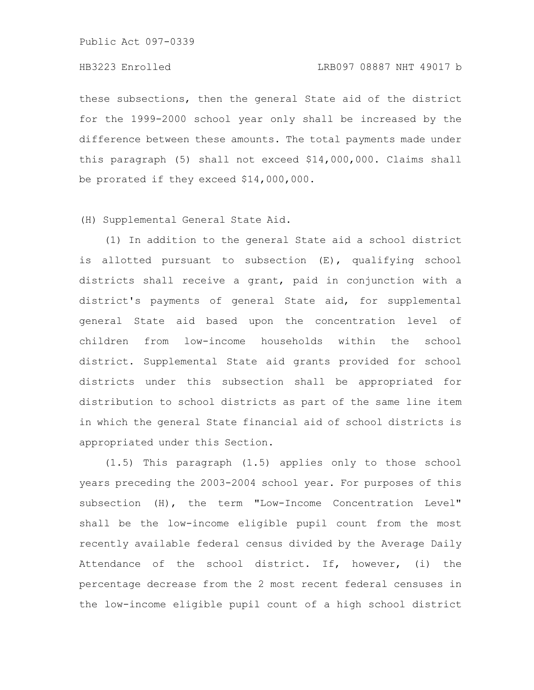these subsections, then the general State aid of the district for the 1999-2000 school year only shall be increased by the difference between these amounts. The total payments made under this paragraph (5) shall not exceed \$14,000,000. Claims shall be prorated if they exceed \$14,000,000.

(H) Supplemental General State Aid.

(1) In addition to the general State aid a school district is allotted pursuant to subsection (E), qualifying school districts shall receive a grant, paid in conjunction with a district's payments of general State aid, for supplemental general State aid based upon the concentration level of children from low-income households within the school district. Supplemental State aid grants provided for school districts under this subsection shall be appropriated for distribution to school districts as part of the same line item in which the general State financial aid of school districts is appropriated under this Section.

(1.5) This paragraph (1.5) applies only to those school years preceding the 2003-2004 school year. For purposes of this subsection (H), the term "Low-Income Concentration Level" shall be the low-income eligible pupil count from the most recently available federal census divided by the Average Daily Attendance of the school district. If, however, (i) the percentage decrease from the 2 most recent federal censuses in the low-income eligible pupil count of a high school district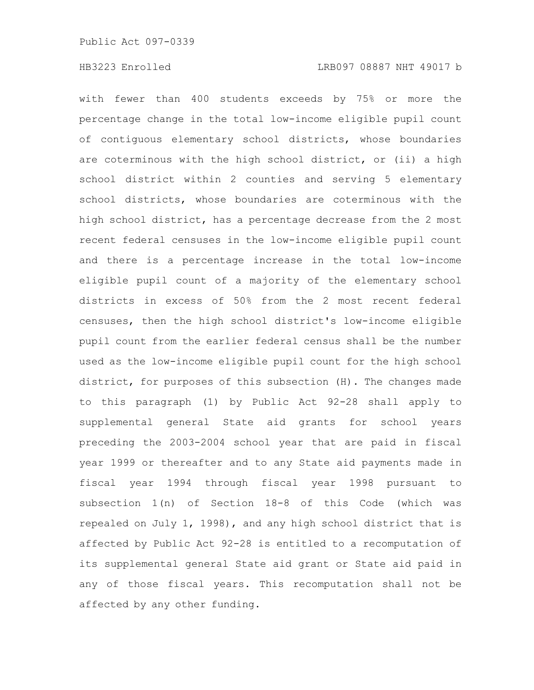with fewer than 400 students exceeds by 75% or more the percentage change in the total low-income eligible pupil count of contiguous elementary school districts, whose boundaries are coterminous with the high school district, or (ii) a high school district within 2 counties and serving 5 elementary school districts, whose boundaries are coterminous with the high school district, has a percentage decrease from the 2 most recent federal censuses in the low-income eligible pupil count and there is a percentage increase in the total low-income eligible pupil count of a majority of the elementary school districts in excess of 50% from the 2 most recent federal censuses, then the high school district's low-income eligible pupil count from the earlier federal census shall be the number used as the low-income eligible pupil count for the high school district, for purposes of this subsection (H). The changes made to this paragraph (1) by Public Act 92-28 shall apply to supplemental general State aid grants for school years preceding the 2003-2004 school year that are paid in fiscal year 1999 or thereafter and to any State aid payments made in fiscal year 1994 through fiscal year 1998 pursuant to subsection 1(n) of Section 18-8 of this Code (which was repealed on July 1, 1998), and any high school district that is affected by Public Act 92-28 is entitled to a recomputation of its supplemental general State aid grant or State aid paid in any of those fiscal years. This recomputation shall not be affected by any other funding.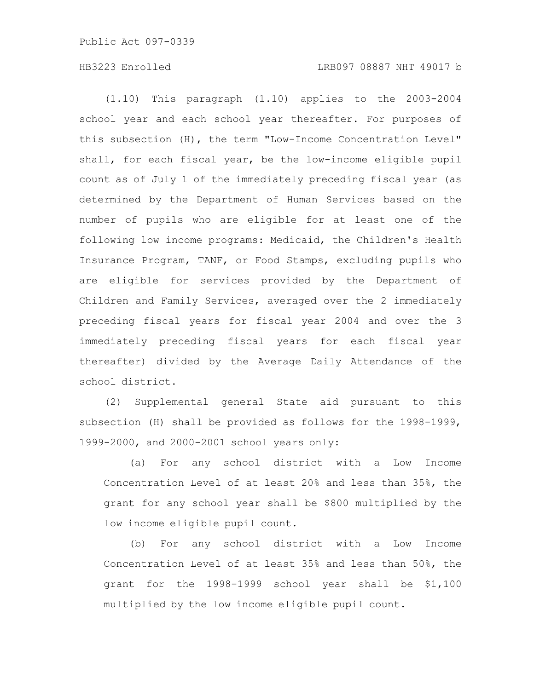(1.10) This paragraph (1.10) applies to the 2003-2004 school year and each school year thereafter. For purposes of this subsection (H), the term "Low-Income Concentration Level" shall, for each fiscal year, be the low-income eligible pupil count as of July 1 of the immediately preceding fiscal year (as determined by the Department of Human Services based on the number of pupils who are eligible for at least one of the following low income programs: Medicaid, the Children's Health Insurance Program, TANF, or Food Stamps, excluding pupils who are eligible for services provided by the Department of Children and Family Services, averaged over the 2 immediately preceding fiscal years for fiscal year 2004 and over the 3 immediately preceding fiscal years for each fiscal year thereafter) divided by the Average Daily Attendance of the school district.

(2) Supplemental general State aid pursuant to this subsection (H) shall be provided as follows for the 1998-1999, 1999-2000, and 2000-2001 school years only:

(a) For any school district with a Low Income Concentration Level of at least 20% and less than 35%, the grant for any school year shall be \$800 multiplied by the low income eligible pupil count.

(b) For any school district with a Low Income Concentration Level of at least 35% and less than 50%, the grant for the 1998-1999 school year shall be \$1,100 multiplied by the low income eligible pupil count.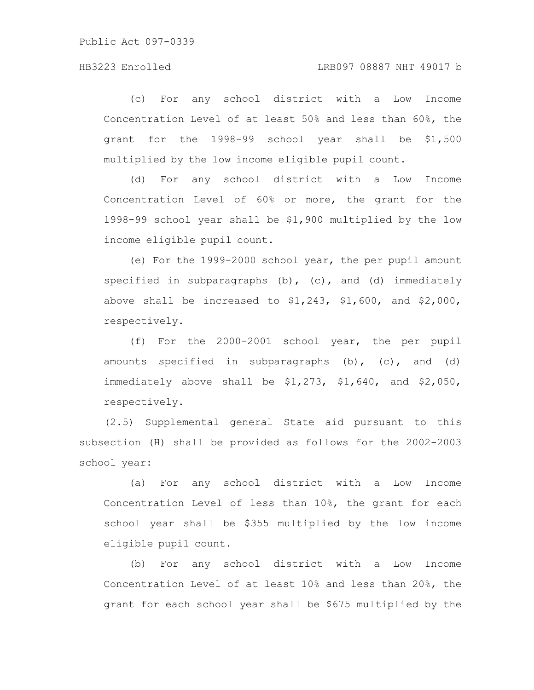(c) For any school district with a Low Income Concentration Level of at least 50% and less than 60%, the grant for the 1998-99 school year shall be \$1,500 multiplied by the low income eligible pupil count.

(d) For any school district with a Low Income Concentration Level of 60% or more, the grant for the 1998-99 school year shall be \$1,900 multiplied by the low income eligible pupil count.

(e) For the 1999-2000 school year, the per pupil amount specified in subparagraphs  $(b)$ ,  $(c)$ , and  $(d)$  immediately above shall be increased to  $$1,243$ ,  $$1,600$ , and  $$2,000$ , respectively.

(f) For the 2000-2001 school year, the per pupil amounts specified in subparagraphs  $(b)$ ,  $(c)$ , and  $(d)$ immediately above shall be \$1,273, \$1,640, and \$2,050, respectively.

(2.5) Supplemental general State aid pursuant to this subsection (H) shall be provided as follows for the 2002-2003 school year:

(a) For any school district with a Low Income Concentration Level of less than 10%, the grant for each school year shall be \$355 multiplied by the low income eligible pupil count.

(b) For any school district with a Low Income Concentration Level of at least 10% and less than 20%, the grant for each school year shall be \$675 multiplied by the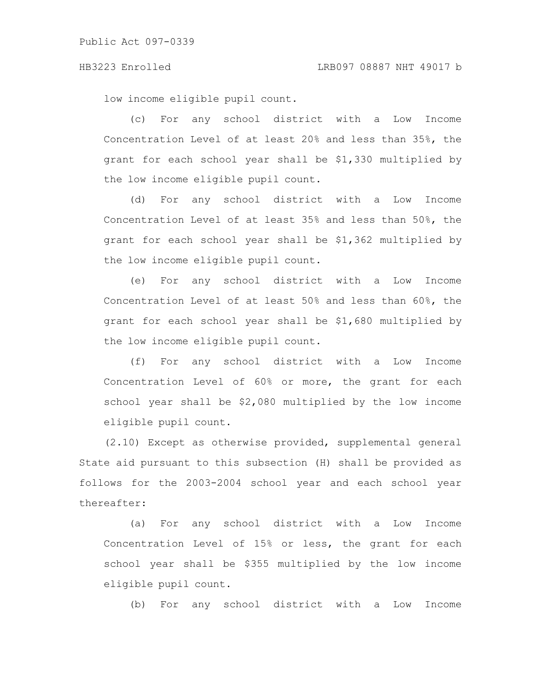low income eligible pupil count.

(c) For any school district with a Low Income Concentration Level of at least 20% and less than 35%, the grant for each school year shall be \$1,330 multiplied by the low income eligible pupil count.

(d) For any school district with a Low Income Concentration Level of at least 35% and less than 50%, the grant for each school year shall be \$1,362 multiplied by the low income eligible pupil count.

(e) For any school district with a Low Income Concentration Level of at least 50% and less than 60%, the grant for each school year shall be \$1,680 multiplied by the low income eligible pupil count.

(f) For any school district with a Low Income Concentration Level of 60% or more, the grant for each school year shall be \$2,080 multiplied by the low income eligible pupil count.

(2.10) Except as otherwise provided, supplemental general State aid pursuant to this subsection (H) shall be provided as follows for the 2003-2004 school year and each school year thereafter:

(a) For any school district with a Low Income Concentration Level of 15% or less, the grant for each school year shall be \$355 multiplied by the low income eligible pupil count.

(b) For any school district with a Low Income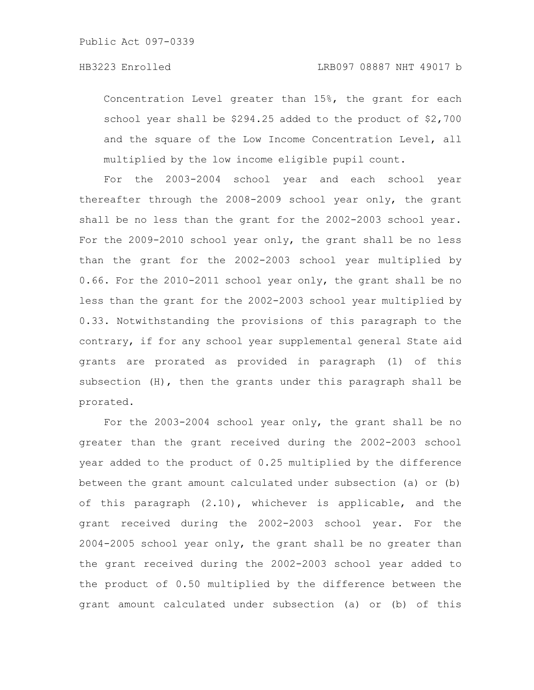Concentration Level greater than 15%, the grant for each school year shall be \$294.25 added to the product of \$2,700 and the square of the Low Income Concentration Level, all multiplied by the low income eligible pupil count.

For the 2003-2004 school year and each school year thereafter through the 2008-2009 school year only, the grant shall be no less than the grant for the 2002-2003 school year. For the 2009-2010 school year only, the grant shall be no less than the grant for the 2002-2003 school year multiplied by 0.66. For the 2010-2011 school year only, the grant shall be no less than the grant for the 2002-2003 school year multiplied by 0.33. Notwithstanding the provisions of this paragraph to the contrary, if for any school year supplemental general State aid grants are prorated as provided in paragraph (1) of this subsection  $(H)$ , then the grants under this paragraph shall be prorated.

For the 2003-2004 school year only, the grant shall be no greater than the grant received during the 2002-2003 school year added to the product of 0.25 multiplied by the difference between the grant amount calculated under subsection (a) or (b) of this paragraph (2.10), whichever is applicable, and the grant received during the 2002-2003 school year. For the 2004-2005 school year only, the grant shall be no greater than the grant received during the 2002-2003 school year added to the product of 0.50 multiplied by the difference between the grant amount calculated under subsection (a) or (b) of this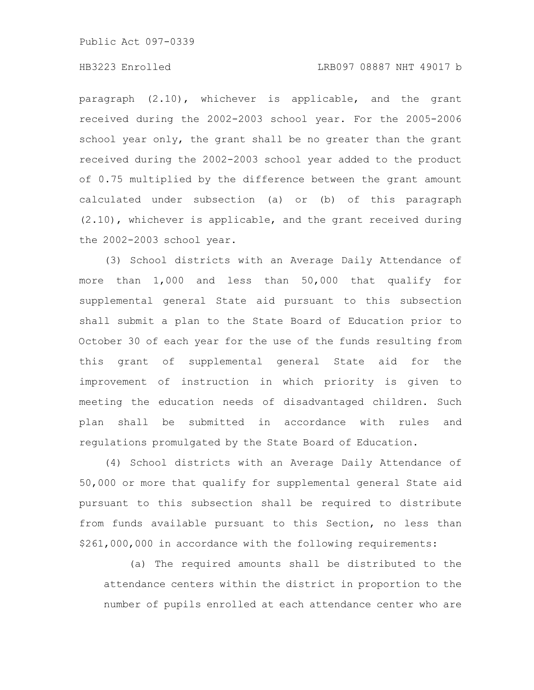### HB3223 Enrolled LRB097 08887 NHT 49017 b

paragraph (2.10), whichever is applicable, and the grant received during the 2002-2003 school year. For the 2005-2006 school year only, the grant shall be no greater than the grant received during the 2002-2003 school year added to the product of 0.75 multiplied by the difference between the grant amount calculated under subsection (a) or (b) of this paragraph (2.10), whichever is applicable, and the grant received during the 2002-2003 school year.

(3) School districts with an Average Daily Attendance of more than 1,000 and less than 50,000 that qualify for supplemental general State aid pursuant to this subsection shall submit a plan to the State Board of Education prior to October 30 of each year for the use of the funds resulting from this grant of supplemental general State aid for the improvement of instruction in which priority is given to meeting the education needs of disadvantaged children. Such plan shall be submitted in accordance with rules and regulations promulgated by the State Board of Education.

(4) School districts with an Average Daily Attendance of 50,000 or more that qualify for supplemental general State aid pursuant to this subsection shall be required to distribute from funds available pursuant to this Section, no less than \$261,000,000 in accordance with the following requirements:

(a) The required amounts shall be distributed to the attendance centers within the district in proportion to the number of pupils enrolled at each attendance center who are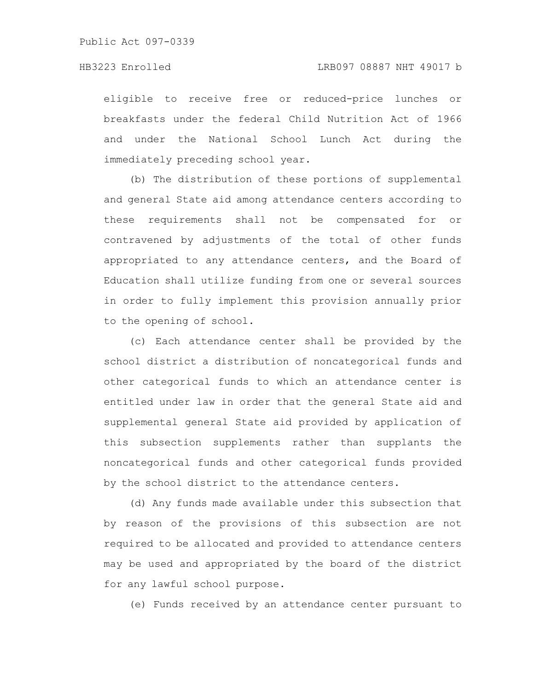eligible to receive free or reduced-price lunches or breakfasts under the federal Child Nutrition Act of 1966 and under the National School Lunch Act during the immediately preceding school year.

(b) The distribution of these portions of supplemental and general State aid among attendance centers according to these requirements shall not be compensated for or contravened by adjustments of the total of other funds appropriated to any attendance centers, and the Board of Education shall utilize funding from one or several sources in order to fully implement this provision annually prior to the opening of school.

(c) Each attendance center shall be provided by the school district a distribution of noncategorical funds and other categorical funds to which an attendance center is entitled under law in order that the general State aid and supplemental general State aid provided by application of this subsection supplements rather than supplants the noncategorical funds and other categorical funds provided by the school district to the attendance centers.

(d) Any funds made available under this subsection that by reason of the provisions of this subsection are not required to be allocated and provided to attendance centers may be used and appropriated by the board of the district for any lawful school purpose.

(e) Funds received by an attendance center pursuant to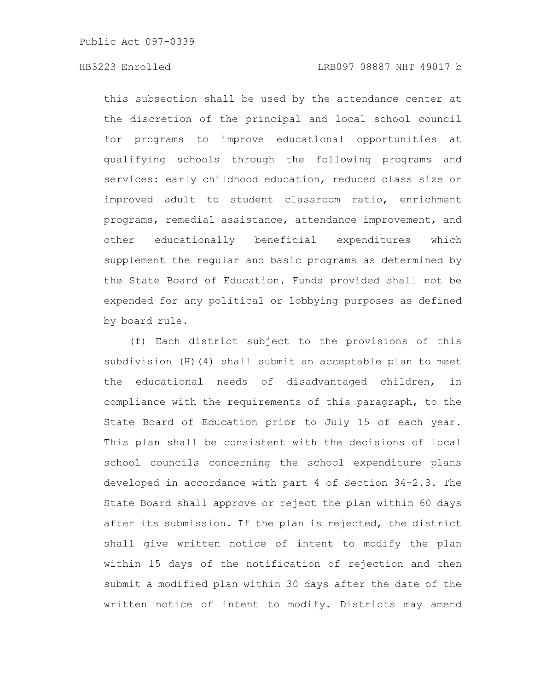this subsection shall be used by the attendance center at the discretion of the principal and local school council for programs to improve educational opportunities at qualifying schools through the following programs and services: early childhood education, reduced class size or improved adult to student classroom ratio, enrichment programs, remedial assistance, attendance improvement, and other educationally beneficial expenditures which supplement the regular and basic programs as determined by the State Board of Education. Funds provided shall not be expended for any political or lobbying purposes as defined by board rule.

(f) Each district subject to the provisions of this subdivision (H)(4) shall submit an acceptable plan to meet the educational needs of disadvantaged children, in compliance with the requirements of this paragraph, to the State Board of Education prior to July 15 of each year. This plan shall be consistent with the decisions of local school councils concerning the school expenditure plans developed in accordance with part 4 of Section 34-2.3. The State Board shall approve or reject the plan within 60 days after its submission. If the plan is rejected, the district shall give written notice of intent to modify the plan within 15 days of the notification of rejection and then submit a modified plan within 30 days after the date of the written notice of intent to modify. Districts may amend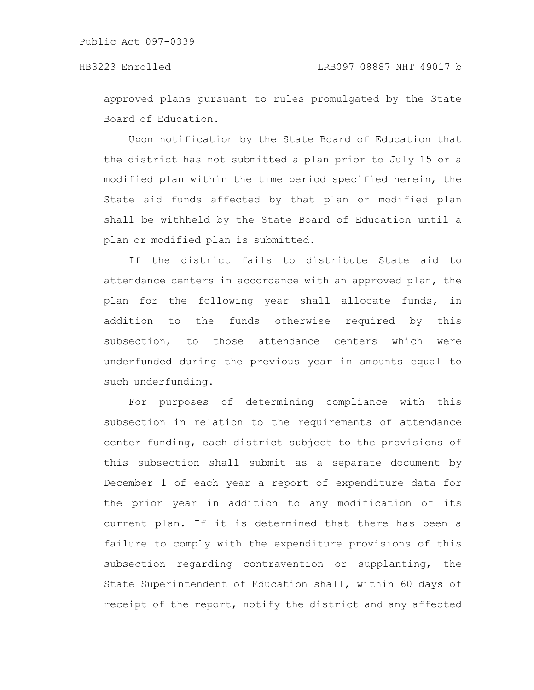approved plans pursuant to rules promulgated by the State Board of Education.

Upon notification by the State Board of Education that the district has not submitted a plan prior to July 15 or a modified plan within the time period specified herein, the State aid funds affected by that plan or modified plan shall be withheld by the State Board of Education until a plan or modified plan is submitted.

If the district fails to distribute State aid to attendance centers in accordance with an approved plan, the plan for the following year shall allocate funds, in addition to the funds otherwise required by this subsection, to those attendance centers which were underfunded during the previous year in amounts equal to such underfunding.

For purposes of determining compliance with this subsection in relation to the requirements of attendance center funding, each district subject to the provisions of this subsection shall submit as a separate document by December 1 of each year a report of expenditure data for the prior year in addition to any modification of its current plan. If it is determined that there has been a failure to comply with the expenditure provisions of this subsection regarding contravention or supplanting, the State Superintendent of Education shall, within 60 days of receipt of the report, notify the district and any affected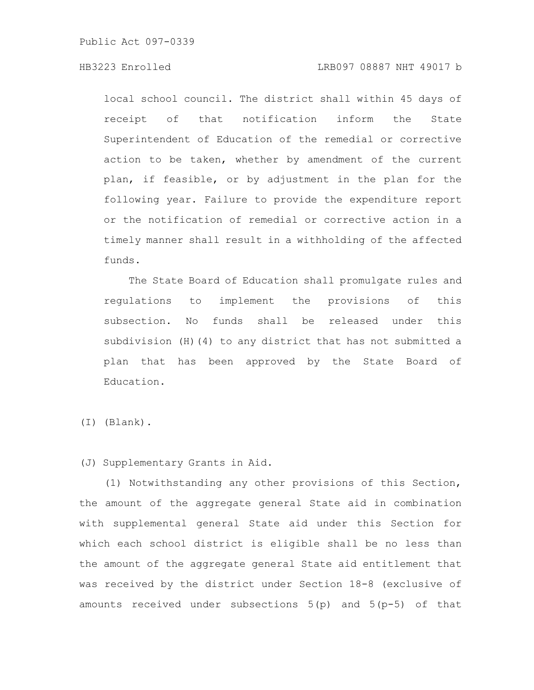### HB3223 Enrolled LRB097 08887 NHT 49017 b

local school council. The district shall within 45 days of receipt of that notification inform the State Superintendent of Education of the remedial or corrective action to be taken, whether by amendment of the current plan, if feasible, or by adjustment in the plan for the following year. Failure to provide the expenditure report or the notification of remedial or corrective action in a timely manner shall result in a withholding of the affected funds.

The State Board of Education shall promulgate rules and regulations to implement the provisions of this subsection. No funds shall be released under this subdivision (H)(4) to any district that has not submitted a plan that has been approved by the State Board of Education.

(I) (Blank).

### (J) Supplementary Grants in Aid.

(1) Notwithstanding any other provisions of this Section, the amount of the aggregate general State aid in combination with supplemental general State aid under this Section for which each school district is eligible shall be no less than the amount of the aggregate general State aid entitlement that was received by the district under Section 18-8 (exclusive of amounts received under subsections 5(p) and 5(p-5) of that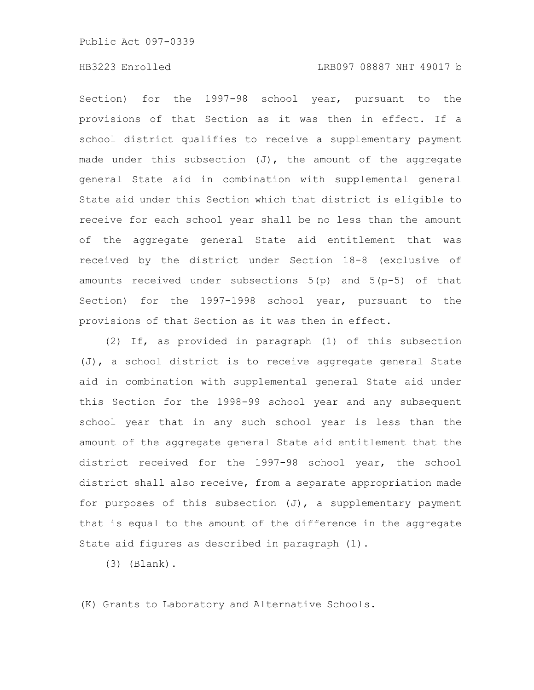## HB3223 Enrolled LRB097 08887 NHT 49017 b

Section) for the 1997-98 school year, pursuant to the provisions of that Section as it was then in effect. If a school district qualifies to receive a supplementary payment made under this subsection  $(J)$ , the amount of the aggregate general State aid in combination with supplemental general State aid under this Section which that district is eligible to receive for each school year shall be no less than the amount of the aggregate general State aid entitlement that was received by the district under Section 18-8 (exclusive of amounts received under subsections 5(p) and 5(p-5) of that Section) for the 1997-1998 school year, pursuant to the provisions of that Section as it was then in effect.

(2) If, as provided in paragraph (1) of this subsection (J), a school district is to receive aggregate general State aid in combination with supplemental general State aid under this Section for the 1998-99 school year and any subsequent school year that in any such school year is less than the amount of the aggregate general State aid entitlement that the district received for the 1997-98 school year, the school district shall also receive, from a separate appropriation made for purposes of this subsection (J), a supplementary payment that is equal to the amount of the difference in the aggregate State aid figures as described in paragraph (1).

(3) (Blank).

(K) Grants to Laboratory and Alternative Schools.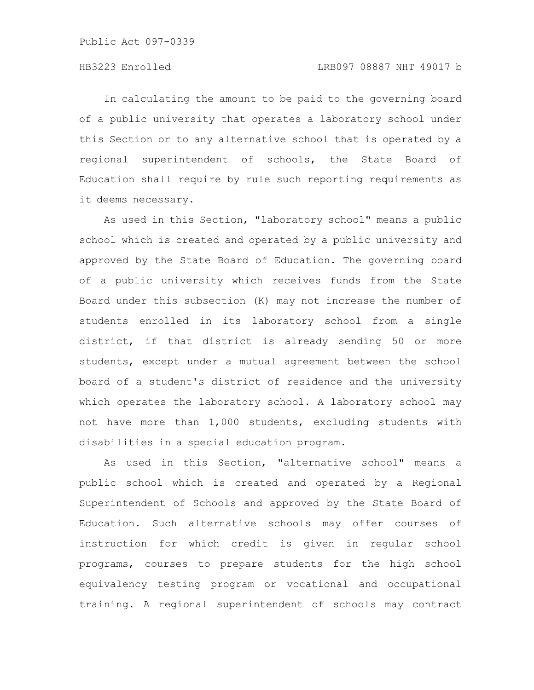### HB3223 Enrolled LRB097 08887 NHT 49017 b

In calculating the amount to be paid to the governing board of a public university that operates a laboratory school under this Section or to any alternative school that is operated by a regional superintendent of schools, the State Board of Education shall require by rule such reporting requirements as it deems necessary.

As used in this Section, "laboratory school" means a public school which is created and operated by a public university and approved by the State Board of Education. The governing board of a public university which receives funds from the State Board under this subsection (K) may not increase the number of students enrolled in its laboratory school from a single district, if that district is already sending 50 or more students, except under a mutual agreement between the school board of a student's district of residence and the university which operates the laboratory school. A laboratory school may not have more than 1,000 students, excluding students with disabilities in a special education program.

As used in this Section, "alternative school" means a public school which is created and operated by a Regional Superintendent of Schools and approved by the State Board of Education. Such alternative schools may offer courses of instruction for which credit is given in regular school programs, courses to prepare students for the high school equivalency testing program or vocational and occupational training. A regional superintendent of schools may contract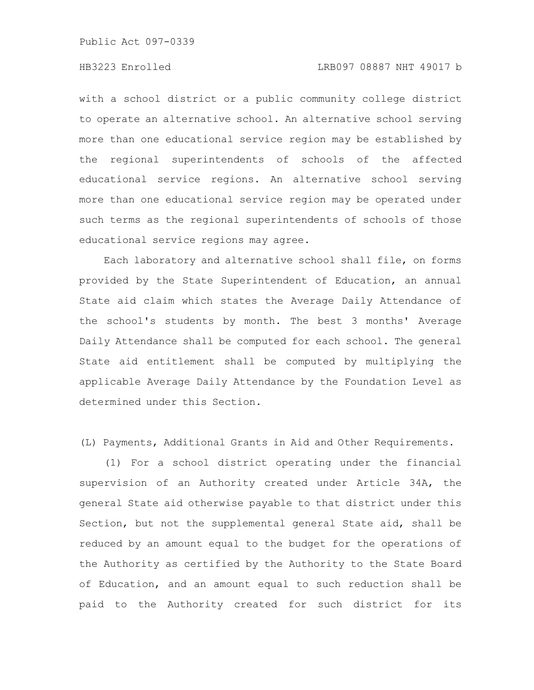### HB3223 Enrolled LRB097 08887 NHT 49017 b

with a school district or a public community college district to operate an alternative school. An alternative school serving more than one educational service region may be established by the regional superintendents of schools of the affected educational service regions. An alternative school serving more than one educational service region may be operated under such terms as the regional superintendents of schools of those educational service regions may agree.

Each laboratory and alternative school shall file, on forms provided by the State Superintendent of Education, an annual State aid claim which states the Average Daily Attendance of the school's students by month. The best 3 months' Average Daily Attendance shall be computed for each school. The general State aid entitlement shall be computed by multiplying the applicable Average Daily Attendance by the Foundation Level as determined under this Section.

(L) Payments, Additional Grants in Aid and Other Requirements.

(1) For a school district operating under the financial supervision of an Authority created under Article 34A, the general State aid otherwise payable to that district under this Section, but not the supplemental general State aid, shall be reduced by an amount equal to the budget for the operations of the Authority as certified by the Authority to the State Board of Education, and an amount equal to such reduction shall be paid to the Authority created for such district for its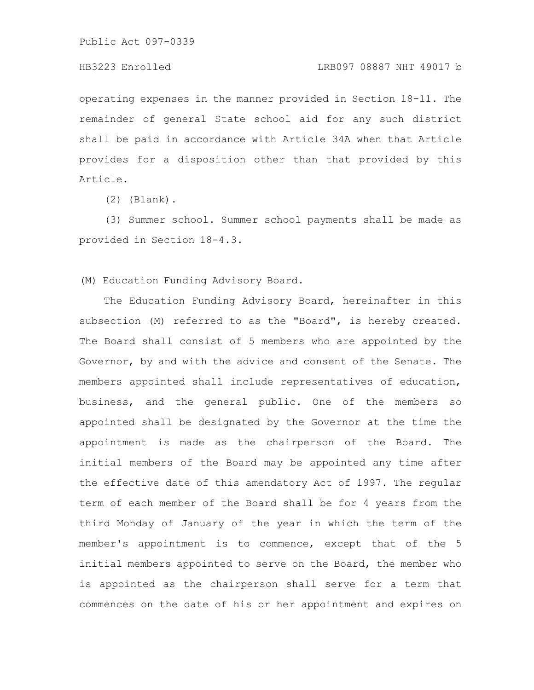### HB3223 Enrolled LRB097 08887 NHT 49017 b

operating expenses in the manner provided in Section 18-11. The remainder of general State school aid for any such district shall be paid in accordance with Article 34A when that Article provides for a disposition other than that provided by this Article.

(2) (Blank).

(3) Summer school. Summer school payments shall be made as provided in Section 18-4.3.

(M) Education Funding Advisory Board.

The Education Funding Advisory Board, hereinafter in this subsection (M) referred to as the "Board", is hereby created. The Board shall consist of 5 members who are appointed by the Governor, by and with the advice and consent of the Senate. The members appointed shall include representatives of education, business, and the general public. One of the members so appointed shall be designated by the Governor at the time the appointment is made as the chairperson of the Board. The initial members of the Board may be appointed any time after the effective date of this amendatory Act of 1997. The regular term of each member of the Board shall be for 4 years from the third Monday of January of the year in which the term of the member's appointment is to commence, except that of the 5 initial members appointed to serve on the Board, the member who is appointed as the chairperson shall serve for a term that commences on the date of his or her appointment and expires on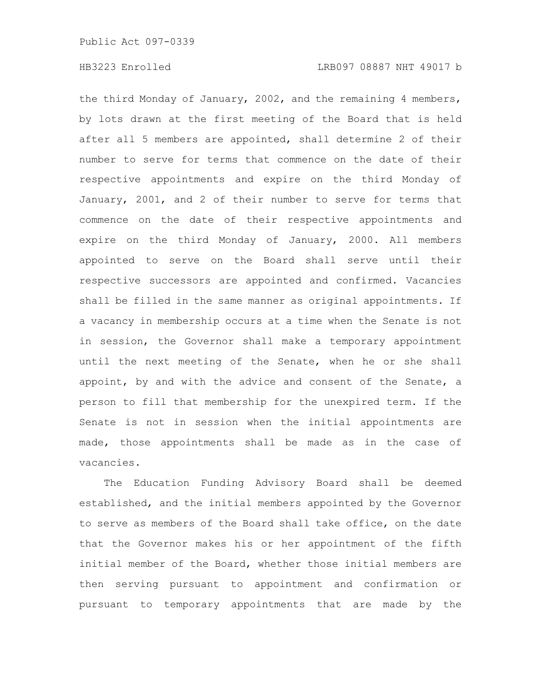the third Monday of January, 2002, and the remaining 4 members, by lots drawn at the first meeting of the Board that is held after all 5 members are appointed, shall determine 2 of their number to serve for terms that commence on the date of their respective appointments and expire on the third Monday of January, 2001, and 2 of their number to serve for terms that commence on the date of their respective appointments and expire on the third Monday of January, 2000. All members appointed to serve on the Board shall serve until their respective successors are appointed and confirmed. Vacancies shall be filled in the same manner as original appointments. If a vacancy in membership occurs at a time when the Senate is not in session, the Governor shall make a temporary appointment until the next meeting of the Senate, when he or she shall appoint, by and with the advice and consent of the Senate, a person to fill that membership for the unexpired term. If the Senate is not in session when the initial appointments are made, those appointments shall be made as in the case of vacancies.

The Education Funding Advisory Board shall be deemed established, and the initial members appointed by the Governor to serve as members of the Board shall take office, on the date that the Governor makes his or her appointment of the fifth initial member of the Board, whether those initial members are then serving pursuant to appointment and confirmation or pursuant to temporary appointments that are made by the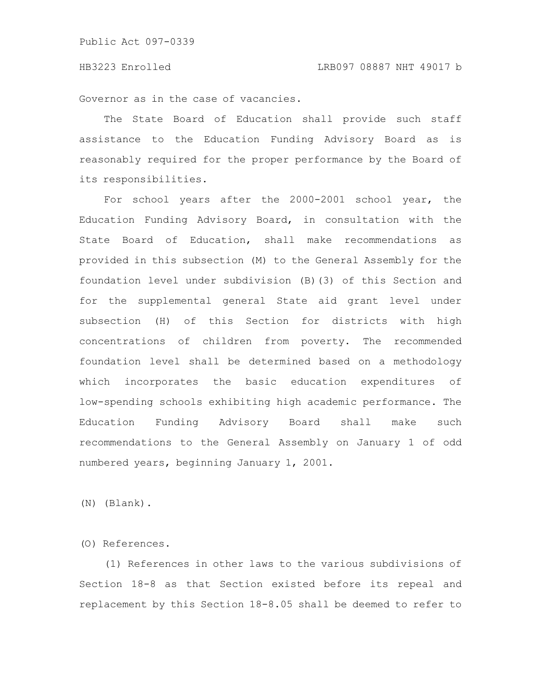Governor as in the case of vacancies.

The State Board of Education shall provide such staff assistance to the Education Funding Advisory Board as is reasonably required for the proper performance by the Board of its responsibilities.

For school years after the 2000-2001 school year, the Education Funding Advisory Board, in consultation with the State Board of Education, shall make recommendations as provided in this subsection (M) to the General Assembly for the foundation level under subdivision (B)(3) of this Section and for the supplemental general State aid grant level under subsection (H) of this Section for districts with high concentrations of children from poverty. The recommended foundation level shall be determined based on a methodology which incorporates the basic education expenditures of low-spending schools exhibiting high academic performance. The Education Funding Advisory Board shall make such recommendations to the General Assembly on January 1 of odd numbered years, beginning January 1, 2001.

(N) (Blank).

(O) References.

(1) References in other laws to the various subdivisions of Section 18-8 as that Section existed before its repeal and replacement by this Section 18-8.05 shall be deemed to refer to